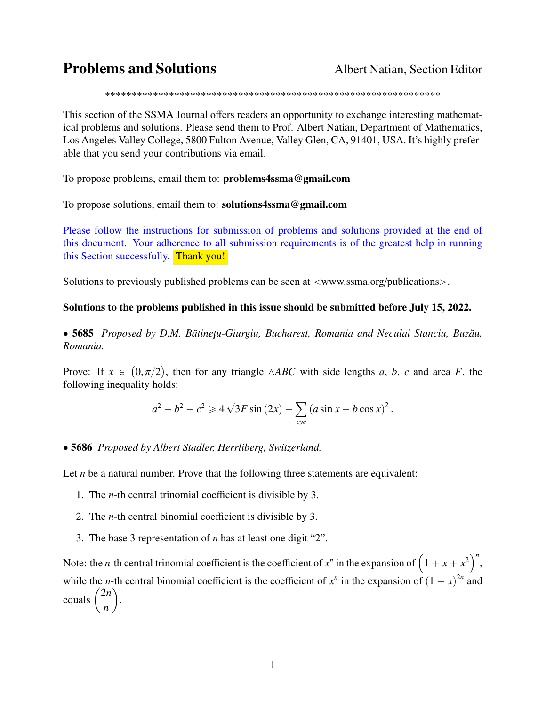# **Problems and Solutions** Albert Natian, Section Editor

\*\*\*\*\*\*\*\*\*\*\*\*\*\*\*\*\*\*\*\*\*\*\*\*\*\*\*\*\*\*\*\*\*\*\*\*\*\*\*\*\*\*\*\*\*\*\*\*\*\*\*\*\*\*\*\*\*\*\*\*\*\*\*

This section of the SSMA Journal offers readers an opportunity to exchange interesting mathematical problems and solutions. Please send them to Prof. Albert Natian, Department of Mathematics, Los Angeles Valley College, 5800 Fulton Avenue, Valley Glen, CA, 91401, USA. It's highly preferable that you send your contributions via email.

To propose problems, email them to: problems4ssma@gmail.com

To propose solutions, email them to: solutions4ssma@gmail.com

Please follow the instructions for submission of problems and solutions provided at the end of this document. Your adherence to all submission requirements is of the greatest help in running this Section successfully. Thank you!

Solutions to previously published problems can be seen at  $\langle$ www.ssma.org/publications $\rangle$ .

### Solutions to the problems published in this issue should be submitted before July 15, 2022.

• 5685 *Proposed by D.M. Bătinețu-Giurgiu, Bucharest, Romania and Neculai Stanciu, Buzău, Romania.*

Prove: If  $x \in (0, \pi/2)$ , then for any triangle  $\triangle ABC$  with side lengths *a*, *b*, *c* and area *F*, the following inequality holds: following inequality holds:

$$
a^{2} + b^{2} + c^{2} \ge 4\sqrt{3}F \sin (2x) + \sum_{cyc} (a \sin x - b \cos x)^{2}.
$$

#### ' 5686 *Proposed by Albert Stadler, Herrliberg, Switzerland.*

Let *n* be a natural number. Prove that the following three statements are equivalent:

- 1. The *n*-th central trinomial coefficient is divisible by 3.
- 2. The *n*-th central binomial coefficient is divisible by 3.
- 3. The base 3 representation of *n* has at least one digit "2".

Note: the *n*-th central trinomial coefficient is the coefficient of  $x^n$  in the expansion of  $(1 + x + x^2)^n$ , while the *n*-th central binomial coefficient is the coefficient of  $x^n$  in the expansion of  $(1 + x)^{2n}$  and while the<br>equals  $\begin{pmatrix} \end{pmatrix}$ 2*n n* .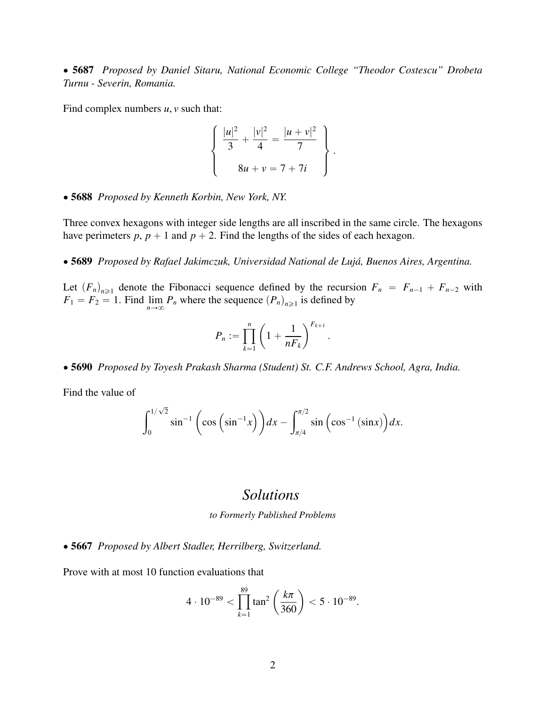' 5687 *Proposed by Daniel Sitaru, National Economic College "Theodor Costescu" Drobeta Turnu - Severin, Romania.*

Find complex numbers *u*, *v* such that:

$$
\begin{cases}\n\frac{|u|^2}{3} + \frac{|v|^2}{4} = \frac{|u + v|^2}{7} \\
8u + v = 7 + 7i\n\end{cases}
$$

' 5688 *Proposed by Kenneth Korbin, New York, NY.*

Three convex hexagons with integer side lengths are all inscribed in the same circle. The hexagons have perimeters  $p$ ,  $p + 1$  and  $p + 2$ . Find the lengths of the sides of each hexagon.

' 5689 *Proposed by Rafael Jakimczuk, Universidad National de Lujá, Buenos Aires, Argentina.*

Let  $(F_n)_{n \geq 1}$  denote the Fibonacci sequence defined by the recursion  $F_n = F_{n-1} + F_{n-2}$  with  $F_1 = F_2 = 1$ . Find  $\lim_{n \to \infty} P_n$  where the sequence  $(P_n)_{n \geq 1}$  is defined by

$$
P_n := \prod_{k=1}^n \left(1 + \frac{1}{nF_k}\right)^{F_{k+1}}
$$

' 5690 *Proposed by Toyesh Prakash Sharma (Student) St. C.F. Andrews School, Agra, India.*

Find the value of

$$
\int_0^{1/\sqrt{2}} \sin^{-1}\left(\cos\left(\sin^{-1}x\right)\right)dx - \int_{\pi/4}^{\pi/2} \sin\left(\cos^{-1}\left(\sin x\right)\right)dx.
$$

# *Solutions*

*to Formerly Published Problems*

' 5667 *Proposed by Albert Stadler, Herrilberg, Switzerland.*

Prove with at most 10 function evaluations that

$$
4 \cdot 10^{-89} < \prod_{k=1}^{89} \tan^2 \left( \frac{k\pi}{360} \right) < 5 \cdot 10^{-89}.
$$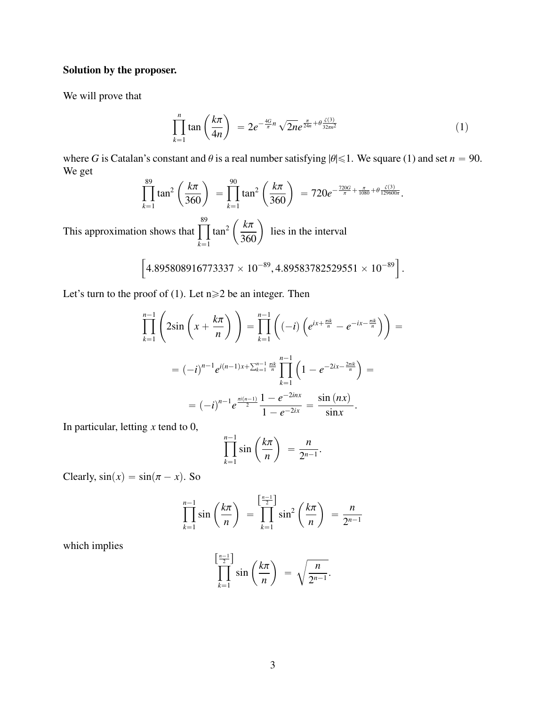# Solution by the proposer.

We will prove that

$$
\prod_{k=1}^{n} \tan\left(\frac{k\pi}{4n}\right) = 2e^{-\frac{4G}{\pi}n} \sqrt{2n}e^{\frac{\pi}{24n} + \theta \frac{\zeta(3)}{32m^2}} \tag{1}
$$

where *G* is Catalan's constant and  $\theta$  is a real number satisfying  $|\theta| \le 1$ . We square (1) and set  $n = 90$ . We get ˆ ˆ

$$
\prod_{k=1}^{89} \tan^2\left(\frac{k\pi}{360}\right) = \prod_{k=1}^{90} \tan^2\left(\frac{k\pi}{360}\right) = 720e^{-\frac{720G}{\pi} + \frac{\pi}{1080} + \theta \frac{\zeta(3)}{129600\pi}}.
$$

This approximation shows that  $\prod_{n=1}^{\infty}$  $k=1$  $tan<sup>2</sup>$  $\left(\frac{k\pi}{360}\right)$ lies in the interval "

$$
\left[4.895808916773337\times10^{-89},4.89583782529551\times10^{-89}\right].
$$

Let's turn to the proof of (1). Let  $n \ge 2$  be an integer. Then

$$
\prod_{k=1}^{n-1} \left( 2\sin\left(x + \frac{k\pi}{n}\right) \right) = \prod_{k=1}^{n-1} \left( (-i) \left( e^{ix + \frac{\pi i k}{n}} - e^{-ix - \frac{\pi i k}{n}} \right) \right) =
$$
\n
$$
= (-i)^{n-1} e^{i(n-1)x + \sum_{k=1}^{n-1} \frac{\pi i k}{n}} \prod_{k=1}^{n-1} \left( 1 - e^{-2ix - \frac{2\pi i k}{n}} \right) =
$$
\n
$$
= (-i)^{n-1} e^{\frac{\pi i (n-1)}{2}} \frac{1 - e^{-2ix}}{1 - e^{-2ix}} = \frac{\sin(nx)}{\sin x}.
$$

In particular, letting *x* tend to 0,

$$
\prod_{k=1}^{n-1} \sin\left(\frac{k\pi}{n}\right) = \frac{n}{2^{n-1}}.
$$

Clearly,  $sin(x) = sin(\pi - x)$ . So

$$
\prod_{k=1}^{n-1} \sin\left(\frac{k\pi}{n}\right) = \prod_{k=1}^{\left[\frac{n-1}{2}\right]} \sin^2\left(\frac{k\pi}{n}\right) = \frac{n}{2^{n-1}}
$$

which implies

$$
\prod_{k=1}^{\left[\frac{n-1}{2}\right]} \sin\left(\frac{k\pi}{n}\right) = \sqrt{\frac{n}{2^{n-1}}}.
$$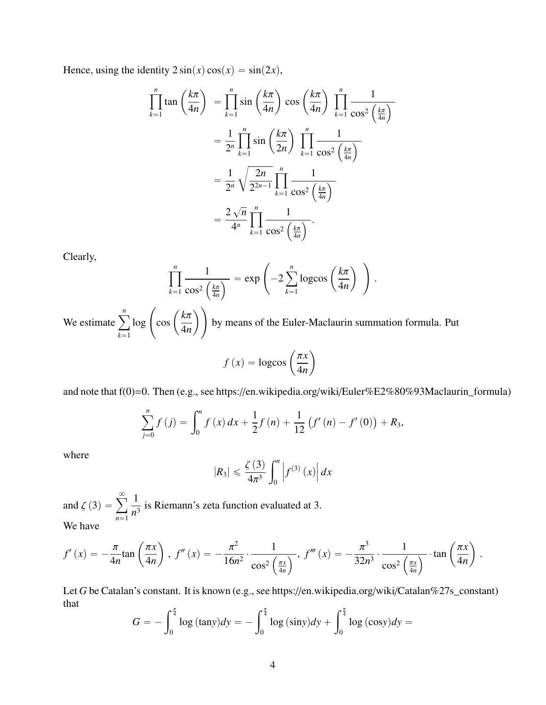Hence, using the identity  $2\sin(x)\cos(x) = \sin(2x)$ ,

$$
\prod_{k=1}^{n} \tan\left(\frac{k\pi}{4n}\right) = \prod_{k=1}^{n} \sin\left(\frac{k\pi}{4n}\right) \cos\left(\frac{k\pi}{4n}\right) \prod_{k=1}^{n} \frac{1}{\cos^2\left(\frac{k\pi}{4n}\right)}
$$

$$
= \frac{1}{2^n} \prod_{k=1}^{n} \sin\left(\frac{k\pi}{2n}\right) \prod_{k=1}^{n} \frac{1}{\cos^2\left(\frac{k\pi}{4n}\right)}
$$

$$
= \frac{1}{2^n} \sqrt{\frac{2n}{2^{2n-1}}} \prod_{k=1}^{n} \frac{1}{\cos^2\left(\frac{k\pi}{4n}\right)}
$$

$$
= \frac{2\sqrt{n}}{4^n} \prod_{k=1}^{n} \frac{1}{\cos^2\left(\frac{k\pi}{4n}\right)}.
$$

Clearly,

$$
\prod_{k=1}^{n} \frac{1}{\cos^2\left(\frac{k\pi}{4n}\right)} = \exp\left(-2\sum_{k=1}^{n} \log\cos\left(\frac{k\pi}{4n}\right)\right).
$$

We estimate  $\sum_{n=1}^n$  $k=1$  $\log \left( \cos \left( \frac{k\pi}{4n} \right) \right)$ by means of the Euler-Maclaurin summation formula. Put ˙

$$
f(x) = \log \cos \left(\frac{\pi x}{4n}\right)
$$

and note that f(0)=0. Then (e.g., see https://en.wikipedia.org/wiki/Euler%E2%80%93Maclaurin\_formula)

$$
\sum_{j=0}^{n} f(j) = \int_{0}^{n} f(x) dx + \frac{1}{2} f(n) + \frac{1}{12} (f'(n) - f'(0)) + R_3,
$$

where

$$
|R_3| \leqslant \frac{\zeta(3)}{4\pi^3} \int_0^n \left| f^{(3)}\left(x\right) \right| dx
$$

and  $\zeta(3) =$  $\infty$  $n=1$ 1  $\frac{1}{n^3}$  is Riemann's zeta function evaluated at 3. We have

$$
f'(x) = -\frac{\pi}{4n} \tan\left(\frac{\pi x}{4n}\right), \ f''(x) = -\frac{\pi^2}{16n^2} \cdot \frac{1}{\cos^2\left(\frac{\pi x}{4n}\right)}, \ f'''(x) = -\frac{\pi^3}{32n^3} \cdot \frac{1}{\cos^2\left(\frac{\pi x}{4n}\right)} \cdot \tan\left(\frac{\pi x}{4n}\right).
$$

Let *G* be Catalan's constant. It is known (e.g., see https://en.wikipedia.org/wiki/Catalan%27s\_constant) that  $\int_0^{\frac{\pi}{4}}$ 

$$
G = -\int_0^{\frac{\pi}{4}} \log (\tan y) dy = -\int_0^{\frac{\pi}{4}} \log (\sin y) dy + \int_0^{\frac{\pi}{4}} \log (\cos y) dy =
$$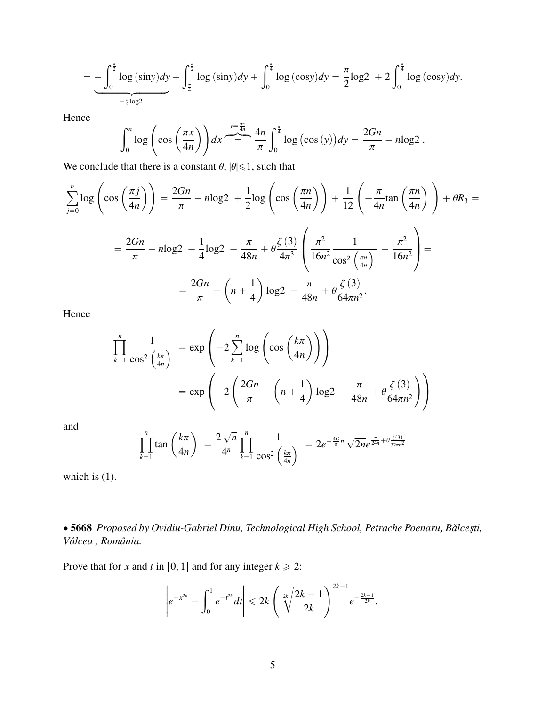$$
= -\int_0^{\frac{\pi}{2}} \log{(\sin y)} dy + \int_{\frac{\pi}{4}}^{\frac{\pi}{2}} \log{(\sin y)} dy + \int_0^{\frac{\pi}{4}} \log{(\cos y)} dy = \frac{\pi}{2} \log 2 + 2 \int_0^{\frac{\pi}{4}} \log{(\cos y)} dy.
$$

Hence

$$
\int_0^n \log \left( \cos \left( \frac{\pi x}{4n} \right) \right) dx \stackrel{y = \frac{\pi x}{4n}}{=} \frac{4n}{\pi} \int_0^{\frac{\pi}{4}} \log \left( \cos \left( y \right) \right) dy = \frac{2Gn}{\pi} - n \log 2.
$$

We conclude that there is a constant  $\theta$ ,  $|\theta| \le 1$ , such that

$$
\sum_{j=0}^{n} \log \left( \cos \left( \frac{\pi j}{4n} \right) \right) = \frac{2Gn}{\pi} - n \log 2 + \frac{1}{2} \log \left( \cos \left( \frac{\pi n}{4n} \right) \right) + \frac{1}{12} \left( -\frac{\pi}{4n} \tan \left( \frac{\pi n}{4n} \right) \right) + \theta R_3 =
$$

$$
= \frac{2Gn}{\pi} - n \log 2 - \frac{1}{4} \log 2 - \frac{\pi}{48n} + \theta \frac{\zeta(3)}{4\pi^3} \left( \frac{\pi^2}{16n^2} \frac{1}{\cos^2 \left( \frac{\pi n}{4n} \right)} - \frac{\pi^2}{16n^2} \right) =
$$

$$
= \frac{2Gn}{\pi} - \left( n + \frac{1}{4} \right) \log 2 - \frac{\pi}{48n} + \theta \frac{\zeta(3)}{64\pi n^2}.
$$

Hence

$$
\prod_{k=1}^{n} \frac{1}{\cos^2\left(\frac{k\pi}{4n}\right)} = \exp\left(-2\sum_{k=1}^{n} \log\left(\cos\left(\frac{k\pi}{4n}\right)\right)\right)
$$

$$
= \exp\left(-2\left(\frac{2Gn}{\pi} - \left(n + \frac{1}{4}\right)\log 2 - \frac{\pi}{48n} + \theta\frac{\zeta(3)}{64\pi n^2}\right)\right)
$$

and

$$
\prod_{k=1}^{n} \tan\left(\frac{k\pi}{4n}\right) = \frac{2\sqrt{n}}{4^n} \prod_{k=1}^{n} \frac{1}{\cos^2\left(\frac{k\pi}{4n}\right)} = 2e^{-\frac{4G}{\pi}n} \sqrt{2n}e^{\frac{\pi}{24n} + \theta \frac{\zeta(3)}{32m^2}}
$$

which is (1).

' 5668 *Proposed by Ovidiu-Gabriel Dinu, Technological High School, Petrache Poenaru, Balce¸sti, ˇ Vâlcea , România.*

Prove that for *x* and *t* in [0, 1] and for any integer  $k \ge 2$ :

$$
\left|e^{-x^{2k}}-\int_0^1e^{-t^{2k}}dt\right|\leq 2k\left(\sqrt[2k]{\frac{2k-1}{2k}}\right)^{2k-1}e^{-\frac{2k-1}{2k}}.
$$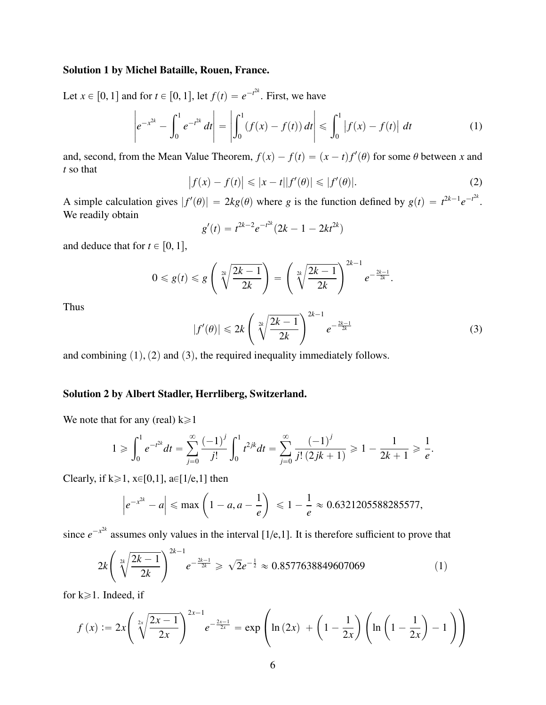#### Solution 1 by Michel Bataille, Rouen, France.

Let  $x \in [0, 1]$  and for  $t \in [0, 1]$ , let  $f(t) = e^{-t^{2k}}$ . First, we have ˇ ˇ ˇ ˇ

$$
\left| e^{-x^{2k}} - \int_0^1 e^{-t^{2k}} dt \right| = \left| \int_0^1 (f(x) - f(t)) dt \right| \leq \int_0^1 |f(x) - f(t)| dt \tag{1}
$$

and, second, from the Mean Value Theorem,  $f(x) - f(t) = (x - t)f'(\theta)$  for some  $\theta$  between *x* and *t* so that *t* so that

$$
\left|f(x) - f(t)\right| \leqslant |x - t||f'(\theta)| \leqslant |f'(\theta)|.
$$
\n(2)

A simple calculation gives  $|f'(\theta)| = 2kg(\theta)$  where *g* is the function defined by  $g(t) = t^{2k-1}e^{-t^{2k}}$ .<br>We readily obtain We readily obtain

$$
g'(t) = t^{2k-2}e^{-t^{2k}}(2k-1-2kt^{2k})
$$

and deduce that for  $t \in [0, 1]$ ,

$$
0 \leqslant g(t) \leqslant g\left(\sqrt[2k]{\frac{2k-1}{2k}}\right) = \left(\sqrt[2k]{\frac{2k-1}{2k}}\right)^{2k-1} e^{-\frac{2k-1}{2k}}.
$$

Thus

$$
|f'(\theta)| \leq 2k \left(\sqrt[2k]{\frac{2k-1}{2k}}\right)^{2k-1} e^{-\frac{2k-1}{2k}}
$$
 (3)

and combining  $(1)$ ,  $(2)$  and  $(3)$ , the required inequality immediately follows.

### Solution 2 by Albert Stadler, Herrliberg, Switzerland.

We note that for any (real)  $k \ge 1$ 

$$
1 \geq \int_0^1 e^{-t^{2k}} dt = \sum_{j=0}^\infty \frac{(-1)^j}{j!} \int_0^1 t^{2jk} dt = \sum_{j=0}^\infty \frac{(-1)^j}{j! (2jk+1)} \geq 1 - \frac{1}{2k+1} \geq \frac{1}{e}.
$$

Clearly, if  $k \ge 1$ ,  $x \in [0,1]$ ,  $a \in [1/e,1]$  then

$$
\left|e^{-x^{2k}}-a\right| \le \max\left(1-a, a-\frac{1}{e}\right) \le 1-\frac{1}{e} \approx 0.6321205588285577,
$$

since  $e^{-x^2k}$  assumes only values in the interval [1/e,1]. It is therefore sufficient to prove that  $\mathbb{Z}^2$ 

$$
2k\left(\sqrt[2k]{\frac{2k-1}{2k}}\right)^{2k-1}e^{-\frac{2k-1}{2k}} \ge \sqrt{2}e^{-\frac{1}{2}} \approx 0.8577638849607069\tag{1}
$$

for  $k \ge 1$ . Indeed, if

$$
f(x) := 2x \left( \sqrt[2x]{\frac{2x-1}{2x}} \right)^{2x-1} e^{-\frac{2x-1}{2x}} = \exp \left( \ln (2x) + \left( 1 - \frac{1}{2x} \right) \left( \ln \left( 1 - \frac{1}{2x} \right) - 1 \right) \right)
$$

¨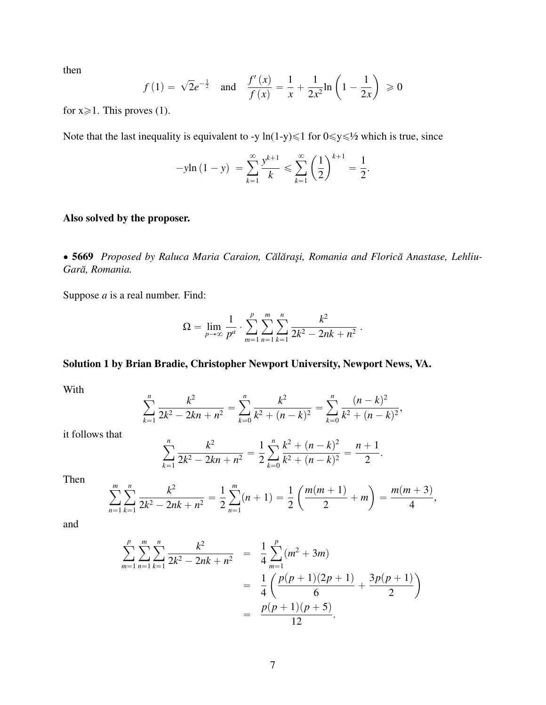then

$$
f(1) = \sqrt{2}e^{-\frac{1}{2}}
$$
 and  $\frac{f'(x)}{f(x)} = \frac{1}{x} + \frac{1}{2x^2} \ln\left(1 - \frac{1}{2x}\right) \ge 0$ 

for  $x \ge 1$ . This proves (1).

Note that the last inequality is equivalent to -y ln(1-y)  $\leq 1$  for  $0 \leq y \leq \frac{1}{2}$  which is true, since

$$
-y\ln(1-y) = \sum_{k=1}^{\infty} \frac{y^{k+1}}{k} \le \sum_{k=1}^{\infty} \left(\frac{1}{2}\right)^{k+1} = \frac{1}{2}.
$$

### Also solved by the proposer.

• 5669 Proposed by Raluca Maria Caraion, Călărași, Romania and Florică Anastase, Lehliu-Gară, Romania.

Suppose *a* is a real number. Find:

$$
\Omega = \lim_{p \to \infty} \frac{1}{p^a} \cdot \sum_{m=1}^p \sum_{n=1}^m \sum_{k=1}^n \frac{k^2}{2k^2 - 2nk + n^2}.
$$

# Solution 1 by Brian Bradie, Christopher Newport University, Newport News, VA.

With

$$
\sum_{k=1}^{n} \frac{k^2}{2k^2 - 2kn + n^2} = \sum_{k=0}^{n} \frac{k^2}{k^2 + (n-k)^2} = \sum_{k=0}^{n} \frac{(n-k)^2}{k^2 + (n-k)^2},
$$

it follows that

$$
\sum_{k=1}^{n} \frac{k^2}{2k^2 - 2kn + n^2} = \frac{1}{2} \sum_{k=0}^{n} \frac{k^2 + (n-k)^2}{k^2 + (n-k)^2} = \frac{n+1}{2}.
$$

Then

$$
\sum_{n=1}^{m} \sum_{k=1}^{n} \frac{k^2}{2k^2 - 2nk + n^2} = \frac{1}{2} \sum_{n=1}^{m} (n+1) = \frac{1}{2} \left( \frac{m(m+1)}{2} + m \right) = \frac{m(m+3)}{4},
$$

and

$$
\sum_{m=1}^{p} \sum_{n=1}^{m} \sum_{k=1}^{n} \frac{k^2}{2k^2 - 2nk + n^2} = \frac{1}{4} \sum_{m=1}^{p} (m^2 + 3m)
$$
  
= 
$$
\frac{1}{4} \left( \frac{p(p+1)(2p+1)}{6} + \frac{3p(p+1)}{2} \right)
$$
  
= 
$$
\frac{p(p+1)(p+5)}{12}.
$$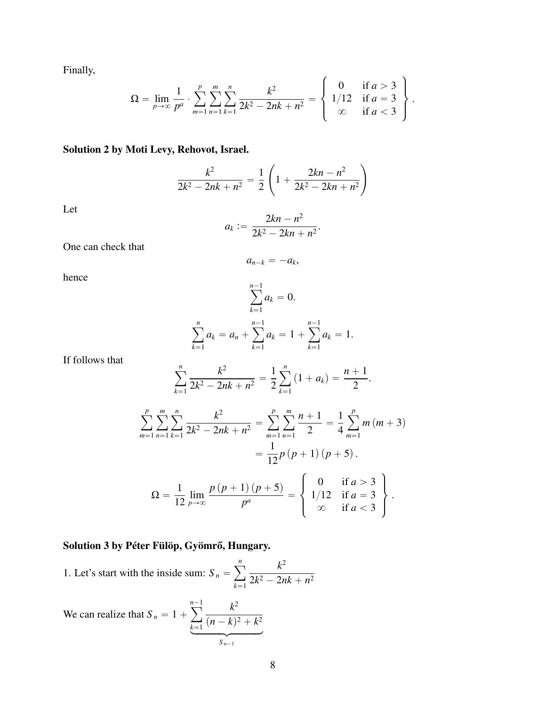Finally,

$$
\Omega = \lim_{p \to \infty} \frac{1}{p^a} \cdot \sum_{m=1}^p \sum_{n=1}^m \sum_{k=1}^n \frac{k^2}{2k^2 - 2nk + n^2} = \begin{cases} 0 & \text{if } a > 3 \\ 1/12 & \text{if } a = 3 \\ \infty & \text{if } a < 3 \end{cases}.
$$

# Solution 2 by Moti Levy, Rehovot, Israel.

$$
\frac{k^2}{2k^2 - 2nk + n^2} = \frac{1}{2} \left( 1 + \frac{2kn - n^2}{2k^2 - 2kn + n^2} \right)
$$

Let

$$
a_k := \frac{2kn - n^2}{2k^2 - 2kn + n^2}.
$$

One can check that

$$
a_{n-k}=-a_k,
$$

hence

$$
\sum_{k=1}^{n-1} a_k = 0.
$$
  

$$
\sum_{k=1}^{n} a_k = a_n + \sum_{k=1}^{n-1} a_k = 1 + \sum_{k=1}^{n-1} a_k = 1.
$$

If follows that

$$
\sum_{k=1}^{n} \frac{k^2}{2k^2 - 2nk + n^2} = \frac{1}{2} \sum_{k=1}^{n} (1 + a_k) = \frac{n+1}{2}.
$$

$$
\sum_{m=1}^{p} \sum_{n=1}^{m} \sum_{k=1}^{n} \frac{k^{2}}{2k^{2} - 2nk + n^{2}} = \sum_{m=1}^{p} \sum_{n=1}^{m} \frac{n+1}{2} = \frac{1}{4} \sum_{m=1}^{p} m(m+3)
$$

$$
= \frac{1}{12} p (p+1) (p+5).
$$

$$
\Omega = \frac{1}{12} \lim_{p \to \infty} \frac{p (p+1) (p+5)}{p^{a}} = \begin{cases} 0 & \text{if } a > 3\\ 1/12 & \text{if } a = 3\\ \infty & \text{if } a < 3 \end{cases}.
$$

# Solution 3 by Péter Fülöp, Gyömrő, Hungary.

1. Let's start with the inside sum: 
$$
S_n = \sum_{k=1}^n \frac{k^2}{2k^2 - 2nk + n^2}
$$

We can realize that  $S_n = 1 +$  $n-1$  $k=1$ *k* 2  $\sum_{k=1}^{\infty} (n-k)^2 + k^2$  $S_{n-1}$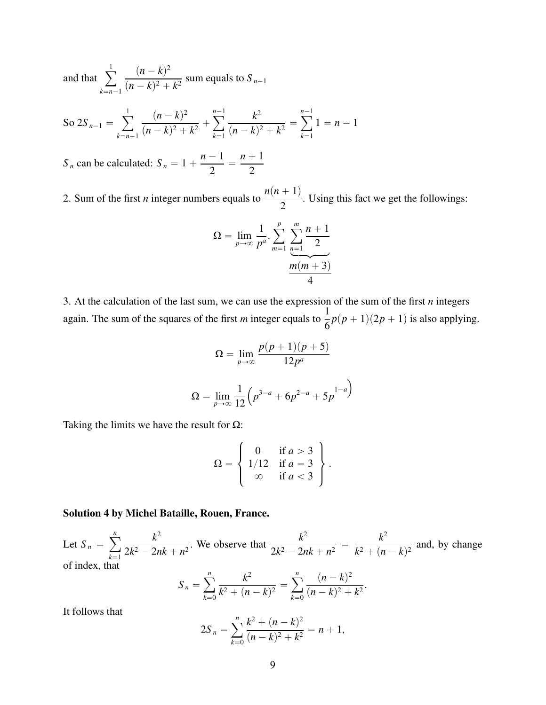and that  $\sum_{i=1}^{n}$  $k=n-1$  $(n - k)^2$  $\frac{(n-k)^2 + k^2}{(n-k)^2 + k^2}$  sum equals to  $S_{n-1}$ 

So 
$$
2S_{n-1} = \sum_{k=n-1}^{1} \frac{(n-k)^2}{(n-k)^2 + k^2} + \sum_{k=1}^{n-1} \frac{k^2}{(n-k)^2 + k^2} = \sum_{k=1}^{n-1} 1 = n-1
$$

 $S_n$  can be calculated:  $S_n = 1 +$  $n - 1$  $\frac{1}{2}$  =  $n + 1$ 2

2. Sum of the first *n* integer numbers equals to  $\frac{n(n+1)}{2}$ 2 . Using this fact we get the followings:

$$
\Omega = \lim_{p \to \infty} \frac{1}{p^a} \cdot \sum_{m=1}^p \underbrace{\sum_{n=1}^m \frac{n+1}{2}}_{\text{max}} \frac{m(m+3)}{4}
$$

3. At the calculation of the last sum, we can use the expression of the sum of the first *n* integers again. The sum of the squares of the first *m* integer equals to  $\frac{1}{6}$  $\frac{1}{6}p(p+1)(2p+1)$  is also applying.

$$
\Omega = \lim_{p \to \infty} \frac{p(p+1)(p+5)}{12p^{a}}
$$

$$
\Omega = \lim_{p \to \infty} \frac{1}{12} \left( p^{3-a} + 6p^{2-a} + 5p^{1-a} \right)
$$

Taking the limits we have the result for  $\Omega$ :

$$
\Omega = \left\{ \begin{array}{ll} 0 & \text{if } a > 3 \\ 1/12 & \text{if } a = 3 \\ \infty & \text{if } a < 3 \end{array} \right\}.
$$

#### Solution 4 by Michel Bataille, Rouen, France.

Let  $S_n =$ ÿ*<sup>n</sup>*  $k=1$ *k* 2  $\frac{k^2}{2k^2 - 2nk + n^2}$ . We observe that  $\frac{k^2}{2k^2 - 2n}$  $\frac{n}{2k^2 - 2nk + n^2}$  = *k* 2  $\frac{k^2 + (n - k)^2}{k^2 + (n - k)^2}$  and, by change of index, that ÿ*<sup>n</sup>* ÿ*<sup>n</sup>*

$$
S_n = \sum_{k=0}^n \frac{k^2}{k^2 + (n-k)^2} = \sum_{k=0}^n \frac{(n-k)^2}{(n-k)^2 + k^2}.
$$

It follows that

$$
2S_n = \sum_{k=0}^n \frac{k^2 + (n-k)^2}{(n-k)^2 + k^2} = n+1,
$$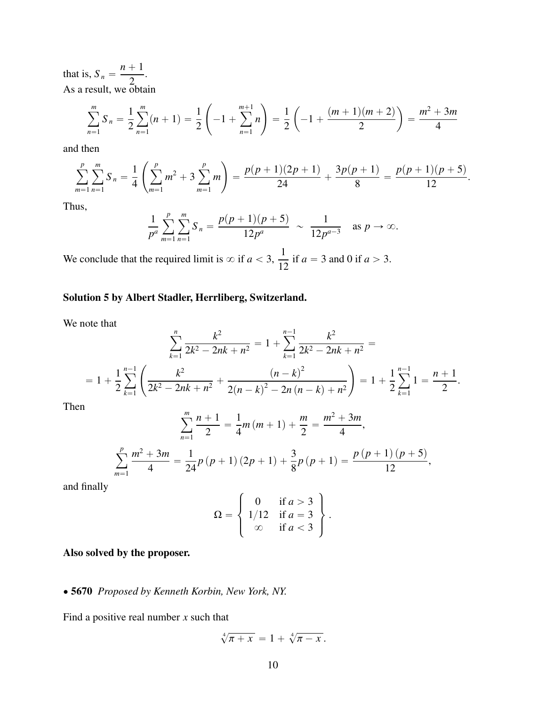that is,  $S_n =$  $n + 1$ 2 . As a result, we obtain

$$
\sum_{n=1}^{m} S_n = \frac{1}{2} \sum_{n=1}^{m} (n+1) = \frac{1}{2} \left( -1 + \sum_{n=1}^{m+1} n \right) = \frac{1}{2} \left( -1 + \frac{(m+1)(m+2)}{2} \right) = \frac{m^2 + 3m}{4}
$$

and then

$$
\sum_{m=1}^{p} \sum_{n=1}^{m} S_n = \frac{1}{4} \left( \sum_{m=1}^{p} m^2 + 3 \sum_{m=1}^{p} m \right) = \frac{p(p+1)(2p+1)}{24} + \frac{3p(p+1)}{8} = \frac{p(p+1)(p+5)}{12}.
$$

Thus,

$$
\frac{1}{p^a} \sum_{m=1}^p \sum_{n=1}^m S_n = \frac{p(p+1)(p+5)}{12p^a} \sim \frac{1}{12p^{a-3}} \text{ as } p \to \infty.
$$

We conclude that the required limit is  $\infty$  if  $a < 3$ ,  $\frac{1}{16}$  $\frac{1}{12}$  if *a* = 3 and 0 if *a* > 3.

### Solution 5 by Albert Stadler, Herrliberg, Switzerland.

We note that

$$
\sum_{k=1}^{n} \frac{k^2}{2k^2 - 2nk + n^2} = 1 + \sum_{k=1}^{n-1} \frac{k^2}{2k^2 - 2nk + n^2} =
$$
  
=  $1 + \frac{1}{2} \sum_{k=1}^{n-1} \left( \frac{k^2}{2k^2 - 2nk + n^2} + \frac{(n-k)^2}{2(n-k)^2 - 2n(n-k) + n^2} \right) = 1 + \frac{1}{2} \sum_{k=1}^{n-1} 1 = \frac{n+1}{2}.$ 

Then

$$
\sum_{n=1}^{m} \frac{n+1}{2} = \frac{1}{4}m(m+1) + \frac{m}{2} = \frac{m^2 + 3m}{4},
$$
  

$$
\sum_{m=1}^{p} \frac{m^2 + 3m}{4} = \frac{1}{24}p(p+1)(2p+1) + \frac{3}{8}p(p+1) = \frac{p(p+1)(p+5)}{12},
$$

and finally

$$
\Omega = \left\{ \begin{array}{ll} 0 & \text{if } a > 3 \\ 1/12 & \text{if } a = 3 \\ \infty & \text{if } a < 3 \end{array} \right\}.
$$

### Also solved by the proposer.

' 5670 *Proposed by Kenneth Korbin, New York, NY.*

Find a positive real number *x* such that

$$
\sqrt[4]{\pi + x} = 1 + \sqrt[4]{\pi - x}.
$$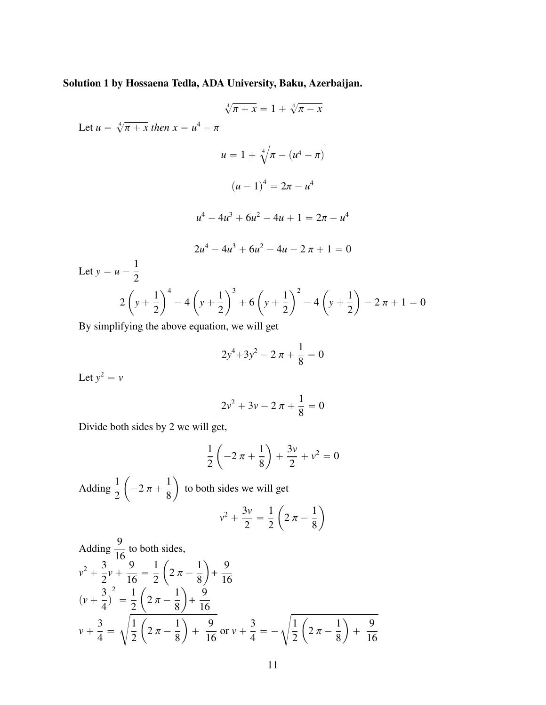Solution 1 by Hossaena Tedla, ADA University, Baku, Azerbaijan.

$$
\sqrt[4]{\pi + x} = 1 + \sqrt[4]{\pi - x}
$$
  
Let  $u = \sqrt[4]{\pi + x}$  then  $x = u^4 - \pi$   

$$
u = 1 + \sqrt[4]{\pi - (u^4 - \pi)}
$$

$$
(u - 1)^4 = 2\pi - u^4
$$

$$
u^4 - 4u^3 + 6u^2 - 4u + 1 = 2\pi - u^4
$$

$$
2u^4 - 4u^3 + 6u^2 - 4u - 2\pi + 1 = 0
$$
  
Let  $y = u - \frac{1}{2}$ 
$$
2\left(y + \frac{1}{2}\right)^4 - 4\left(y + \frac{1}{2}\right)^3 + 6\left(y + \frac{1}{2}\right)^2 - 4\left(y + \frac{1}{2}\right) - 2\pi + 1
$$
  
By simplifying the above equation, we will get

By simplifying the above equation, we will get

$$
2y^4 + 3y^2 - 2\pi + \frac{1}{8} = 0
$$

 $= 0$ 

Let  $y^2 = v$ 

$$
2v^2 + 3v - 2 \pi + \frac{1}{8} = 0
$$

Divide both sides by 2 we will get,

$$
\frac{1}{2}\left(-2 \pi + \frac{1}{8}\right) + \frac{3\nu}{2} + \nu^2 = 0
$$

Adding  $\frac{1}{2}$ 2 ˆ  $-2 \pi +$ 1 8 ˙ to both sides we will get 1 ˆ

$$
v^2 + \frac{3v}{2} = \frac{1}{2} \left( 2 \pi - \frac{1}{8} \right)
$$

˙

Adding 
$$
\frac{9}{16}
$$
 to both sides,  
\n
$$
v^2 + \frac{3}{2}v + \frac{9}{16} = \frac{1}{2}\left(2\pi - \frac{1}{8}\right) + \frac{9}{16}
$$
\n
$$
\left(v + \frac{3}{4}\right)^2 = \frac{1}{2}\left(2\pi - \frac{1}{8}\right) + \frac{9}{16}
$$
\n
$$
v + \frac{3}{4} = \sqrt{\frac{1}{2}\left(2\pi - \frac{1}{8}\right) + \frac{9}{16}} \text{ or } v + \frac{3}{4} = -\sqrt{\frac{1}{2}\left(2\pi - \frac{1}{8}\right) + \frac{9}{16}}
$$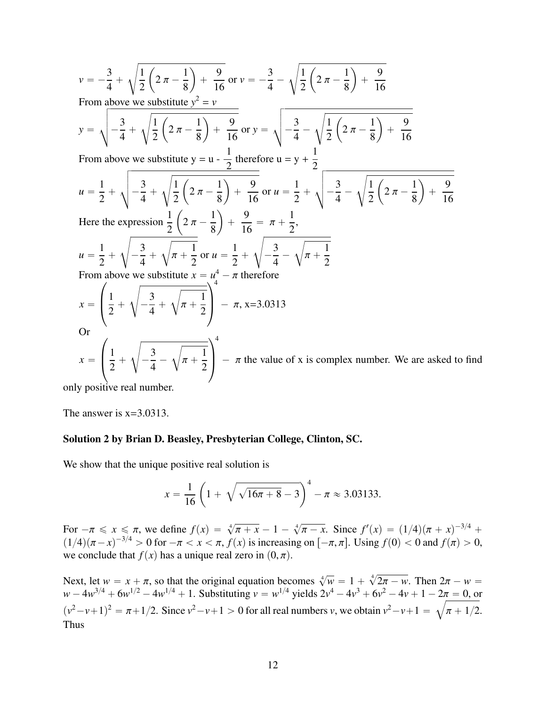$$
v = -\frac{3}{4} + \sqrt{\frac{1}{2}(2\pi - \frac{1}{8}) + \frac{9}{16}} \text{ or } v = -\frac{3}{4} - \sqrt{\frac{1}{2}(2\pi - \frac{1}{8}) + \frac{9}{16}}
$$
  
\nFrom above we substitute  $y^2 = v$   
\n
$$
y = \sqrt{-\frac{3}{4} + \sqrt{\frac{1}{2}(2\pi - \frac{1}{8}) + \frac{9}{16}}} \text{ or } y = \sqrt{-\frac{3}{4} - \sqrt{\frac{1}{2}(2\pi - \frac{1}{8}) + \frac{9}{16}}}
$$
  
\nFrom above we substitute  $y = u - \frac{1}{2}$  therefore  $u = y + \frac{1}{2}$   
\n
$$
u = \frac{1}{2} + \sqrt{-\frac{3}{4} + \sqrt{\frac{1}{2}(2\pi - \frac{1}{8}) + \frac{9}{16}}} \text{ or } u = \frac{1}{2} + \sqrt{-\frac{3}{4} - \sqrt{\frac{1}{2}(2\pi - \frac{1}{8}) + \frac{9}{16}}}
$$
  
\nHere the expression  $\frac{1}{2}(2\pi - \frac{1}{8}) + \frac{9}{16} = \pi + \frac{1}{2}$ ,  
\n
$$
u = \frac{1}{2} + \sqrt{-\frac{3}{4} + \sqrt{\pi + \frac{1}{2}}}} \text{ or } u = \frac{1}{2} + \sqrt{-\frac{3}{4} - \sqrt{\pi + \frac{1}{2}}}}
$$
  
\nFrom above we substitute  $x = u^4 - \pi$  therefore  
\n
$$
x = \left(\frac{1}{2} + \sqrt{-\frac{3}{4} + \sqrt{\pi + \frac{1}{2}}}\right)^4 - \pi
$$
,  $x = 3.0313$   
\nOr  
\n
$$
x = \left(\frac{1}{2} + \sqrt{-\frac{3}{4} - \sqrt{\pi + \frac{1}{2}}}\right)^4 - \pi
$$
 the value of x is complex number. We are asked to find

only positive real number.

The answer is  $x=3.0313$ .

#### Solution 2 by Brian D. Beasley, Presbyterian College, Clinton, SC.

We show that the unique positive real solution is

$$
x = \frac{1}{16} \left( 1 + \sqrt{\sqrt{16\pi + 8} - 3} \right)^4 - \pi \approx 3.03133.
$$

For  $-\pi \le x \le \pi$ , we define  $f(x) = \sqrt[4]{\pi + x} - 1 -$ <br>  $f(x) = \sqrt[4]{(x^2 + 4)} - 0$  for  $-\pi < x < \pi$   $f(x)$  is increasing  $\frac{4}{ }$  $\overline{\pi - x}$ . Since  $f'(x) = (1/4)(\pi + x)^{-3/4} +$ <br>on  $\overline{(-\pi, \pi]}$  Using  $f(0) < 0$  and  $f(\pi) > 0$  $(1/4)(\pi - x)^{-3/4} > 0$  for  $-\pi < x < \pi$ ,  $f(x)$  is increasing on  $[-\pi, \pi]$ . Using  $f(0) < 0$  and  $f(\pi) > 0$ , we conclude that  $f(x)$  has a unique real zero in  $(0, \pi)$ .

Next, let  $w = x + \pi$ , so that the original equation becomes  $\sqrt[4]{w} = 1 + \sqrt[4]{w}$ <br> $w = 4w^{3/4} + 6w^{1/2} - 4w^{1/4} + 1$ . Substituting  $y = w^{1/4}$  yields  $2y^4 - 4y^3 + 6y^2$ Next, let  $w = x + \pi$ , so that the original equation becomes  $\sqrt[4]{w} = 1 + \sqrt[4]{2\pi - w}$ . Then  $2\pi - w = w - 4w^{3/4} + 6w^{1/2} - 4w^{1/4} + 1$ . Substituting  $v = w^{1/4}$  yields  $2v^4 - 4v^3 + 6v^2 - 4v + 1 - 2\pi = 0$ , or  $(v^2 - v + 1)^2 = \pi + 1/2$ . Since  $v^2 - v + 1 > 0$  for all real numbers *v*, we obtain  $v^2 - v + 1 = \sqrt{\pi + 1/2}$ . Thus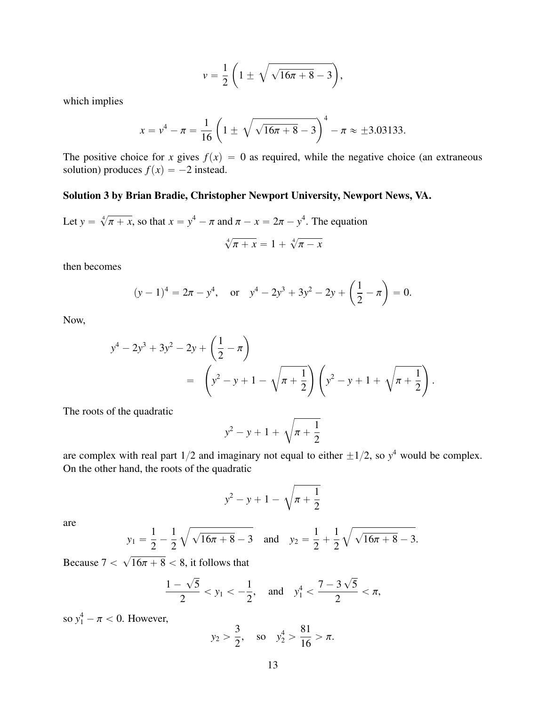$$
v=\frac{1}{2}\left(1\pm\sqrt{\sqrt{16\pi+8}-3}\right),\,
$$

which implies

$$
x = v4 - \pi = \frac{1}{16} \left( 1 \pm \sqrt{\sqrt{16\pi + 8} - 3} \right)^{4} - \pi \approx \pm 3.03133.
$$

The positive choice for *x* gives  $f(x) = 0$  as required, while the negative choice (an extraneous solution) produces  $f(x) = -2$  instead.

### Solution 3 by Brian Bradie, Christopher Newport University, Newport News, VA.

Let 
$$
y = \sqrt[4]{\pi + x}
$$
, so that  $x = y^4 - \pi$  and  $\pi - x = 2\pi - y^4$ . The equation

$$
\sqrt[4]{\pi} + x = 1 + \sqrt[4]{\pi} - x
$$

then becomes

$$
(y-1)^4 = 2\pi - y^4
$$
, or  $y^4 - 2y^3 + 3y^2 - 2y + \left(\frac{1}{2} - \pi\right) = 0$ .

Now,

$$
y^4 - 2y^3 + 3y^2 - 2y + \left(\frac{1}{2} - \pi\right)
$$
  
=  $\left(y^2 - y + 1 - \sqrt{\pi + \frac{1}{2}}\right)\left(y^2 - y + 1 + \sqrt{\pi + \frac{1}{2}}\right)$ 

The roots of the quadratic

$$
y^2 - y + 1 + \sqrt{\pi + \frac{1}{2}}
$$

are complex with real part  $1/2$  and imaginary not equal to either  $\pm 1/2$ , so  $y^4$  would be complex. On the other hand, the roots of the quadratic

$$
y^2 - y + 1 - \sqrt{\pi + \frac{1}{2}}
$$

are

$$
y_1 = \frac{1}{2} - \frac{1}{2} \sqrt{\sqrt{16\pi + 8} - 3}
$$
 and  $y_2 = \frac{1}{2} + \frac{1}{2} \sqrt{\sqrt{16\pi + 8} - 3}$ .

Because  $7 <$  $\overline{\phantom{a}}$  $16\pi + 8 < 8$ , it follows that

$$
\frac{1-\sqrt{5}}{2} < y_1 < -\frac{1}{2}, \quad \text{and} \quad y_1^4 < \frac{7-3\sqrt{5}}{2} < \pi,
$$

so  $y_1^4 - \pi < 0$ . However,

$$
y_2 > \frac{3}{2}
$$
, so  $y_2^4 > \frac{81}{16} > \pi$ .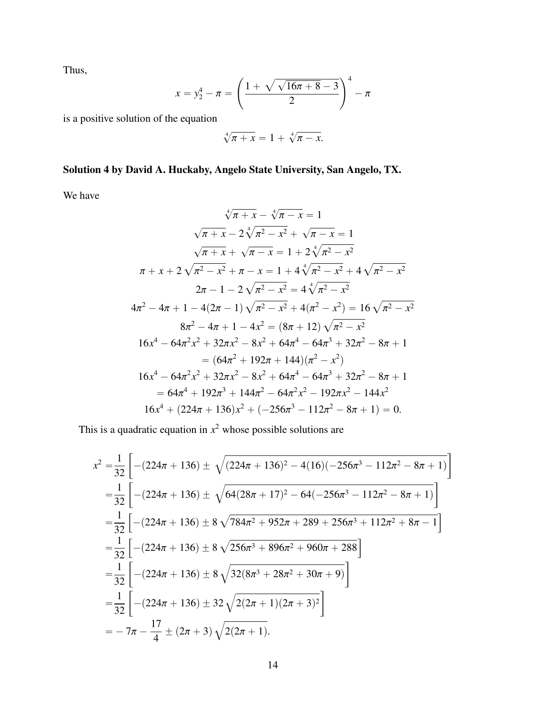Thus,

$$
x = y_2^4 - \pi = \left(\frac{1 + \sqrt{\sqrt{16\pi + 8} - 3}}{2}\right)^4 - \pi
$$

is a positive solution of the equation

$$
\sqrt[4]{\pi + x} = 1 + \sqrt[4]{\pi - x}.
$$

# Solution 4 by David A. Huckaby, Angelo State University, San Angelo, TX.

We have

$$
\sqrt[4]{\pi + x} - \sqrt[4]{\pi - x} = 1
$$
  

$$
\sqrt{\pi + x} - 2\sqrt[4]{\pi^2 - x^2} + \sqrt{\pi - x} = 1
$$
  

$$
\sqrt{\pi + x} + \sqrt{\pi - x} = 1 + 2\sqrt[4]{\pi^2 - x^2}
$$
  

$$
\pi + x + 2\sqrt{\pi^2 - x^2} + \pi - x = 1 + 4\sqrt[4]{\pi^2 - x^2} + 4\sqrt{\pi^2 - x^2}
$$
  

$$
2\pi - 1 - 2\sqrt{\pi^2 - x^2} = 4\sqrt[4]{\pi^2 - x^2}
$$
  

$$
4\pi^2 - 4\pi + 1 - 4(2\pi - 1)\sqrt{\pi^2 - x^2} + 4(\pi^2 - x^2) = 16\sqrt{\pi^2 - x^2}
$$
  

$$
8\pi^2 - 4\pi + 1 - 4x^2 = (8\pi + 12)\sqrt{\pi^2 - x^2}
$$
  

$$
16x^4 - 64\pi^2x^2 + 32\pi x^2 - 8x^2 + 64\pi^4 - 64\pi^3 + 32\pi^2 - 8\pi + 1
$$
  

$$
= (64\pi^2 + 192\pi + 144)(\pi^2 - x^2)
$$
  

$$
16x^4 - 64\pi^2x^2 + 32\pi x^2 - 8x^2 + 64\pi^4 - 64\pi^3 + 32\pi^2 - 8\pi + 1
$$
  

$$
= 64\pi^4 + 192\pi^3 + 144\pi^2 - 64\pi^2x^2 - 192\pi x^2 - 144x^2
$$
  

$$
16x^4 + (224\pi + 136)x^2 + (-256\pi^3 - 112\pi^2 - 8\pi + 1) = 0.
$$

This is a quadratic equation in  $x^2$  whose possible solutions are

$$
x^{2} = \frac{1}{32} \left[ -(224\pi + 136) \pm \sqrt{(224\pi + 136)^{2} - 4(16)(-256\pi^{3} - 112\pi^{2} - 8\pi + 1)} \right]
$$
  
\n
$$
= \frac{1}{32} \left[ -(224\pi + 136) \pm \sqrt{64(28\pi + 17)^{2} - 64(-256\pi^{3} - 112\pi^{2} - 8\pi + 1)} \right]
$$
  
\n
$$
= \frac{1}{32} \left[ -(224\pi + 136) \pm 8\sqrt{784\pi^{2} + 952\pi + 289 + 256\pi^{3} + 112\pi^{2} + 8\pi - 1} \right]
$$
  
\n
$$
= \frac{1}{32} \left[ -(224\pi + 136) \pm 8\sqrt{256\pi^{3} + 896\pi^{2} + 960\pi + 288} \right]
$$
  
\n
$$
= \frac{1}{32} \left[ -(224\pi + 136) \pm 8\sqrt{32(8\pi^{3} + 28\pi^{2} + 30\pi + 9)} \right]
$$
  
\n
$$
= \frac{1}{32} \left[ -(224\pi + 136) \pm 32\sqrt{2(2\pi + 1)(2\pi + 3)^{2}} \right]
$$
  
\n
$$
= -7\pi - \frac{17}{4} \pm (2\pi + 3)\sqrt{2(2\pi + 1)}.
$$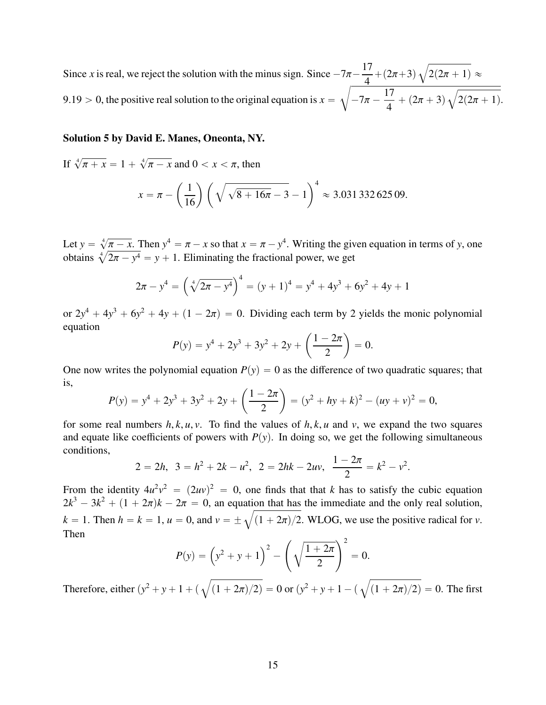Since *x* is real, we reject the solution with the minus sign. Since  $-7\pi - \frac{17}{4}$  $\frac{1}{4} + (2\pi + 3)$  $\frac{7\pi - \frac{1}{4} + (2\pi + 3)}{4} \sqrt{2(2\pi + 1)} \approx$ 9.19 > 0, the positive real solution to the original equation is  $x = \sqrt{-7\pi - 1}$ 17  $\frac{17}{4} + (2\pi + 3)$ b  $2(2\pi + 1).$ 

#### Solution 5 by David E. Manes, Oneonta, NY.

If  $\sqrt[4]{ }$  $\pi + x = 1 +$  $\frac{4}{3}$  $\pi - x$  and  $0 < x < \pi$ , then

$$
x = \pi - \left(\frac{1}{16}\right) \left(\sqrt{\sqrt{8+16\pi}-3}-1\right)^4 \approx 3.03133262509.
$$

Let  $y = \sqrt[4]{ }$  $\pi - x$ . Then  $y^4 = \pi - x$  so that  $x = \pi - y^4$ . Writing the given equation in terms of *y*, one Let  $y = \sqrt[4]{\infty}$ <br>obtains  $\sqrt[4]{\infty}$  $2\pi - y^4 = y + 1$ . Eliminating the fractional power, we get

$$
2\pi - y^4 = \left(\sqrt[4]{2\pi - y^4}\right)^4 = (y+1)^4 = y^4 + 4y^3 + 6y^2 + 4y + 1
$$

or  $2y^4 + 4y^3 + 6y^2 + 4y + (1 - 2\pi) = 0$ . Dividing each term by 2 yields the monic polynomial equation equation ˆ

$$
P(y) = y^4 + 2y^3 + 3y^2 + 2y + \left(\frac{1 - 2\pi}{2}\right) = 0.
$$

One now writes the polynomial equation  $P(y) = 0$  as the difference of two quadratic squares; that is, ˆ ˙

$$
P(y) = y^4 + 2y^3 + 3y^2 + 2y + \left(\frac{1 - 2\pi}{2}\right) = (y^2 + hy + k)^2 - (uy + v)^2 = 0,
$$

for some real numbers  $h, k, u, v$ . To find the values of  $h, k, u$  and  $v$ , we expand the two squares and equate like coefficients of powers with  $P(y)$ . In doing so, we get the following simultaneous conditions,

$$
2 = 2h, \ \ 3 = h^2 + 2k - u^2, \ \ 2 = 2hk - 2uv, \ \ \frac{1 - 2\pi}{2} = k^2 - v^2.
$$

From the identity  $4u^2v^2 = (2uv)^2 = 0$ , one finds that that *k* has to satisfy the cubic equation  $2k^3 - 3k^2 + (1 + 2\pi)k - 2\pi = 0$ , an equation that has the immediate and the only real solution,  $2k^3 - 3k^2 + (1 + 2\pi)k - 2\pi = 0$ , an equation  $k = 1$ . Then  $h = k = 1$ ,  $u = 0$ , and  $v = \pm \sqrt{2}$  $(1 + 2\pi)/2$ . WLOG, we use the positive radical for *v*. Then  $\mathcal{L}^{\text{max}}$  $\sim$  2

$$
P(y) = \left(y^2 + y + 1\right)^2 - \left(\sqrt{\frac{1 + 2\pi}{2}}\right)^2 = 0.
$$

Therefore, either  $(y^2 + y + 1 + (\sqrt{\sqrt{2}})$  $(1 + 2\pi)/2$ ) = 0 or (*y*  $\frac{2}{2} + y + 1 - (\sqrt{2})$  $(1 + 2\pi)/2$  = 0. The first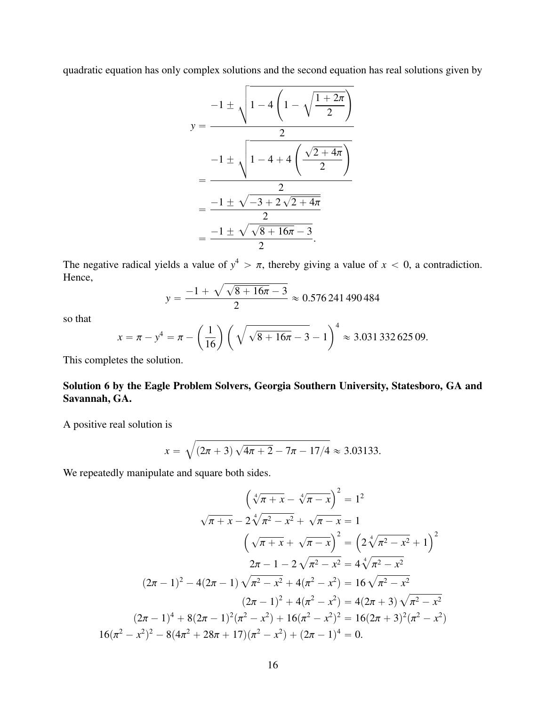quadratic equation has only complex solutions and the second equation has real solutions given by

$$
y = \frac{-1 \pm \sqrt{1 - 4\left(1 - \sqrt{\frac{1 + 2\pi}{2}}\right)}}{2}
$$
  
= 
$$
\frac{-1 \pm \sqrt{1 - 4 + 4\left(\frac{\sqrt{2 + 4\pi}}{2}\right)}}{2}
$$
  
= 
$$
\frac{-1 \pm \sqrt{-3 + 2\sqrt{2 + 4\pi}}}{2}
$$
  
= 
$$
\frac{-1 \pm \sqrt{\sqrt{8 + 16\pi} - 3}}{2}.
$$

The negative radical yields a value of  $y^4 > \pi$ , thereby giving a value of  $x < 0$ , a contradiction.<br>Hence Hence,  $\sqrt{a}$ 

$$
y = \frac{-1 + \sqrt{\sqrt{8 + 16\pi} - 3}}{2} \approx 0.576241490484
$$

so that

$$
x = \pi - y^4 = \pi - \left(\frac{1}{16}\right) \left(\sqrt{\sqrt{8 + 16\pi} - 3} - 1\right)^4 \approx 3.03133262509.
$$

This completes the solution.

Solution 6 by the Eagle Problem Solvers, Georgia Southern University, Statesboro, GA and Savannah, GA.

A positive real solution is

$$
x = \sqrt{(2\pi + 3)\sqrt{4\pi + 2} - 7\pi - 17/4} \approx 3.03133.
$$

We repeatedly manipulate and square both sides.

$$
\left(\sqrt[4]{\pi + x} - \sqrt[4]{\pi - x}\right)^2 = 1^2
$$
  

$$
\sqrt{\pi + x} - 2\sqrt[4]{\pi^2 - x^2} + \sqrt{\pi - x} = 1
$$
  

$$
\left(\sqrt{\pi + x} + \sqrt{\pi - x}\right)^2 = \left(2\sqrt[4]{\pi^2 - x^2} + 1\right)^2
$$
  

$$
2\pi - 1 - 2\sqrt{\pi^2 - x^2} = 4\sqrt[4]{\pi^2 - x^2}
$$
  

$$
(2\pi - 1)^2 - 4(2\pi - 1)\sqrt{\pi^2 - x^2} + 4(\pi^2 - x^2) = 16\sqrt{\pi^2 - x^2}
$$
  

$$
(2\pi - 1)^2 + 4(\pi^2 - x^2) = 4(2\pi + 3)\sqrt{\pi^2 - x^2}
$$
  

$$
(2\pi - 1)^4 + 8(2\pi - 1)^2(\pi^2 - x^2) + 16(\pi^2 - x^2)^2 = 16(2\pi + 3)^2(\pi^2 - x^2)
$$
  

$$
16(\pi^2 - x^2)^2 - 8(4\pi^2 + 28\pi + 17)(\pi^2 - x^2) + (2\pi - 1)^4 = 0.
$$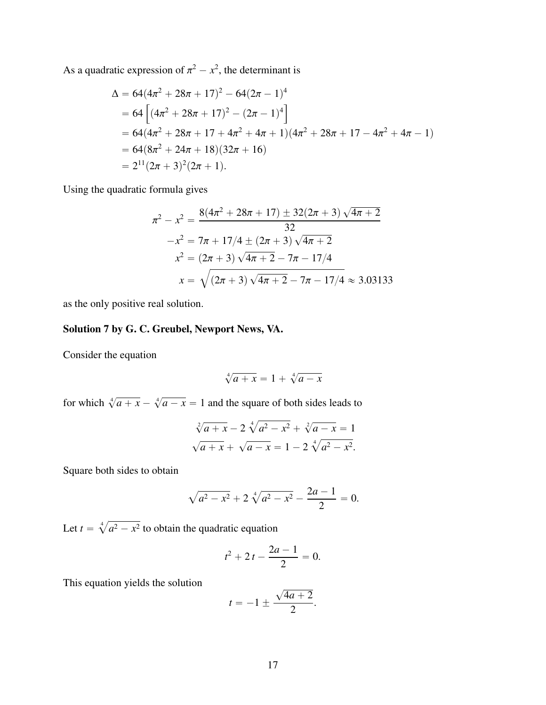As a quadratic expression of  $\pi^2 - x^2$ , the determinant is

$$
\Delta = 64(4\pi^2 + 28\pi + 17)^2 - 64(2\pi - 1)^4
$$
  
= 64[(4\pi^2 + 28\pi + 17)^2 - (2\pi - 1)^4]  
= 64(4\pi^2 + 28\pi + 17 + 4\pi^2 + 4\pi + 1)(4\pi^2 + 28\pi + 17 - 4\pi^2 + 4\pi - 1)  
= 64(8\pi^2 + 24\pi + 18)(32\pi + 16)  
= 2<sup>11</sup>(2\pi + 3)<sup>2</sup>(2\pi + 1).

Using the quadratic formula gives

$$
\pi^2 - x^2 = \frac{8(4\pi^2 + 28\pi + 17) \pm 32(2\pi + 3)\sqrt{4\pi + 2}}{32}
$$

$$
-x^2 = 7\pi + 17/4 \pm (2\pi + 3)\sqrt{4\pi + 2}
$$

$$
x^2 = (2\pi + 3)\sqrt{4\pi + 2} - 7\pi - 17/4
$$

$$
x = \sqrt{(2\pi + 3)\sqrt{4\pi + 2} - 7\pi - 17/4} \approx 3.03133
$$

as the only positive real solution.

# Solution 7 by G. C. Greubel, Newport News, VA.

Consider the equation

$$
\sqrt[4]{a+x} = 1 + \sqrt[4]{a-x}
$$

for which  $\sqrt[4]{a + x} - \sqrt[4]{a - x} = 1$  and the square of both sides leads to

$$
\sqrt[2]{a + x} - 2\sqrt[4]{a^2 - x^2} + \sqrt[2]{a - x} = 1
$$
  

$$
\sqrt{a + x} + \sqrt{a - x} = 1 - 2\sqrt[4]{a^2 - x^2}.
$$

Square both sides to obtain

$$
\sqrt{a^2 - x^2} + 2\sqrt[4]{a^2 - x^2} - \frac{2a - 1}{2} = 0.
$$

Let  $t =$  $\sqrt[4]{a^2 - x^2}$  to obtain the quadratic equation

$$
t^2 + 2t - \frac{2a - 1}{2} = 0.
$$

This equation yields the solution

$$
t=-1\pm\frac{\sqrt{4a+2}}{2}.
$$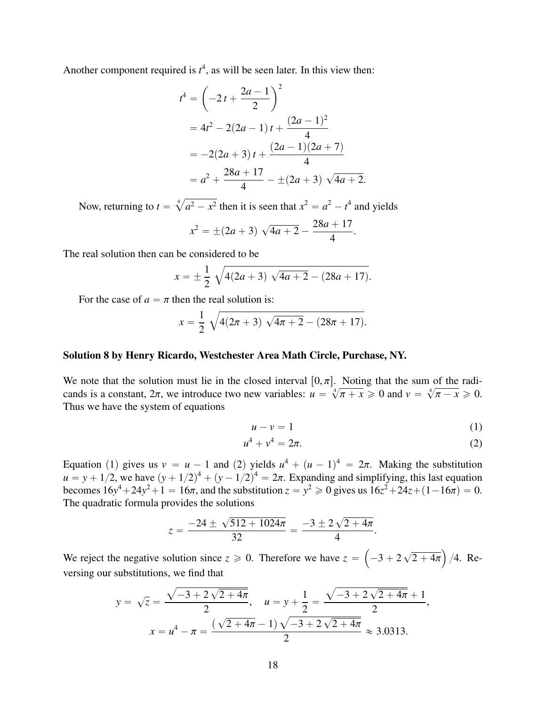Another component required is  $t^4$ , as will be seen later. In this view then:

$$
t4 = \left(-2t + \frac{2a - 1}{2}\right)^2
$$
  
=  $4t^2 - 2(2a - 1)t + \frac{(2a - 1)^2}{4}$   
=  $-2(2a + 3)t + \frac{(2a - 1)(2a + 7)}{4}$   
=  $a^2 + \frac{28a + 17}{4} - \pm (2a + 3) \sqrt{4a + 2}$ .

Now, returning to  $t =$  $\sqrt[4]{a^2 - x^2}$  then it is seen that  $x^2 = a^2 - t^4$  and yields

$$
x^{2} = \pm (2a + 3) \sqrt{4a + 2} - \frac{28a + 17}{4}
$$

The real solution then can be considered to be

$$
x = \pm \frac{1}{2} \sqrt{4(2a+3) \sqrt{4a+2} - (28a+17)}.
$$

For the case of  $a = \pi$  then the real solution is:

$$
x = \frac{1}{2} \sqrt{4(2\pi + 3) \sqrt{4\pi + 2} - (28\pi + 17)}.
$$

#### Solution 8 by Henry Ricardo, Westchester Area Math Circle, Purchase, NY.

We note that the solution must lie in the closed interval  $[0, \pi]$ . Noting that the sum of the radicands is a constant,  $2\pi$ , we introduce two new variables:  $u =$ <br>Thus we have the system of equations  $\frac{1}{4}$  $\pi + x \geqslant 0$  and  $v =$  $\frac{1}{4}$  $\pi - x \geqslant 0.$ Thus we have the system of equations

$$
u - v = 1 \tag{1}
$$

$$
u^4 + v^4 = 2\pi.
$$
 (2)

Equation (1) gives us  $v = u - 1$  and (2) yields  $u^4 + (u - 1)^4 = 2\pi$ . Making the substitution  $u = v + 1/2$  we have  $(v + 1/2)^4 + (v - 1/2)^4 = 2\pi$ . Expanding and simplifying this last equation *u* = *y* + 1/2, we have  $(y + 1/2)^4 + (y - 1/2)^4 = 2\pi$ . Expanding and simplifying, this last equation<br>becomes  $16y^4 + 24y^2 + 1 = 16\pi$  and the substitution  $z = y^2 > 0$  gives us  $16z^2 + 24z + (1 - 16\pi) = 0$ . becomes  $16y^4 + 24y^2 + 1 = 16\pi$ , and the substitution  $z = y^2 \ge 0$  gives us  $16z^2 + 24z + (1 - 16\pi) = 0$ .<br>The quadratic formula provides the solutions The quadratic formula provides the solutions

$$
z = \frac{-24 \pm \sqrt{512 + 1024\pi}}{32} = \frac{-3 \pm 2\sqrt{2 + 4\pi}}{4}
$$

We reject the negative solution since  $z \ge 0$ . Therefore we have  $z =$  $-3 + 2$  $\overline{\phantom{a}}$  $2 + 4\pi$ ji<br>Li /4. Reversing our substitutions, we find that a

$$
y = \sqrt{z} = \frac{\sqrt{-3 + 2\sqrt{2 + 4\pi}}}{2}, \quad u = y + \frac{1}{2} = \frac{\sqrt{-3 + 2\sqrt{2 + 4\pi}} + 1}{2},
$$

$$
x = u^4 - \pi = \frac{(\sqrt{2 + 4\pi} - 1)\sqrt{-3 + 2\sqrt{2 + 4\pi}}}{2} \approx 3.0313.
$$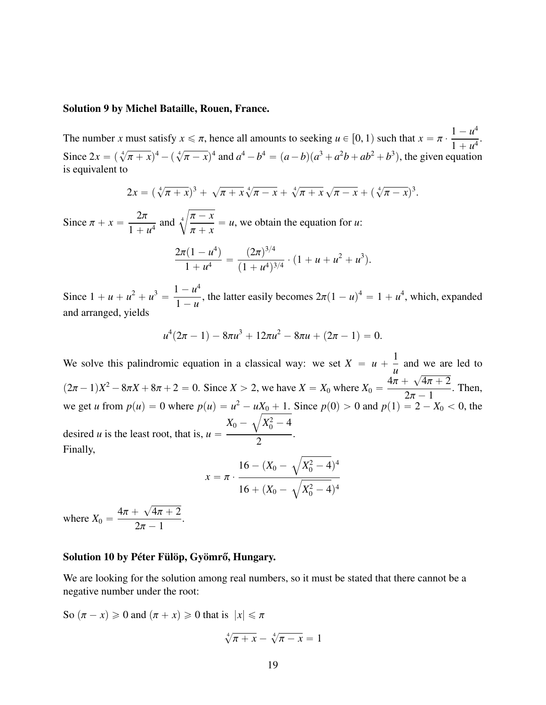#### Solution 9 by Michel Bataille, Rouen, France.

The number *x* must satisfy  $x \leq \pi$ , hence all amounts to seeking  $u \in [0, 1)$  such that  $x = \pi$ .  $1 - u^4$ Since  $2x = (\sqrt[4]{\pi + x})^4 - (\sqrt[4]{\pi - x})^4$  and  $a^4 - b^4 = (a - b)(a^3 + a^2b + ab^2 + b^3)$ , the given equation  $\frac{1}{4}$ .  $\pi + x$ )  $^{4} - (\sqrt[4]{ }$  $(\overline{x} - \overline{x})^4$  and  $a^4 - b^4 = (a - b)(a^3 + a^2b + ab^2 + b^3)$ , the given equation is equivalent to

$$
2x = (\sqrt[4]{\pi + x})^3 + \sqrt{\pi + x} \sqrt[4]{\pi - x} + \sqrt[4]{\pi + x} \sqrt{\pi - x} + (\sqrt[4]{\pi - x})^3.
$$

Since  $\pi + x = \frac{2\pi}{1 + x}$  $\frac{2\pi}{1 + u^4}$  and  $\sqrt[4]{}$  $\frac{\pi - x}{\pi}$  $\pi$  + *x*  $= u$ , we obtain the equation for *u*:

$$
\frac{2\pi(1-u^4)}{1+u^4}=\frac{(2\pi)^{3/4}}{(1+u^4)^{3/4}}\cdot(1+u+u^2+u^3).
$$

Since  $1 + u + u^2 + u^3 = \frac{1 - u^4}{1 - u^2}$  $\frac{1 - u}{1 - u}$ , the latter easily becomes  $2\pi (1 - u)^4 = 1 + u^4$ , which, expanded and arranged, yields

$$
u^4(2\pi - 1) - 8\pi u^3 + 12\pi u^2 - 8\pi u + (2\pi - 1) = 0.
$$

We solve this palindromic equation in a classical way: we set  $X = u + \frac{1}{u}$ *u* and we are led to  $(2\pi - 1)X^2 - 8\pi X + 8\pi + 2 = 0$ . Since  $X > 2$ , we have  $X = X_0$  where  $X_0 = \frac{4\pi + 2}{2}$ ?  $\frac{4\pi + 2}{1}$ . Then, we get *u* from  $p(u) = 0$  where  $p(u) = u^2 - uX_0 + 1$ . Since  $p(0) > 0$  and  $p(1) = 2 - X_0 < 0$ , the desired *u* is the least root, that is,  $u =$  $X_0-\sqrt{X_0^2-4}$ 2 . Finally,

$$
x = \pi \cdot \frac{16 - (X_0 - \sqrt{X_0^2 - 4})^4}{16 + (X_0 - \sqrt{X_0^2 - 4})^4}
$$

where  $X_0 = \frac{4\pi + \pi}{2}$  $\overline{\phantom{a}}$  $\frac{4\pi + 2}{1}$  $2\pi - 1$ .

#### Solution 10 by Péter Fülöp, Gyömrő, Hungary.

We are looking for the solution among real numbers, so it must be stated that there cannot be a negative number under the root:

So  $(\pi - x) \ge 0$  and  $(\pi + x) \ge 0$  that is  $|x| \le \pi$ 

$$
\sqrt[4]{\pi + x} - \sqrt[4]{\pi - x} = 1
$$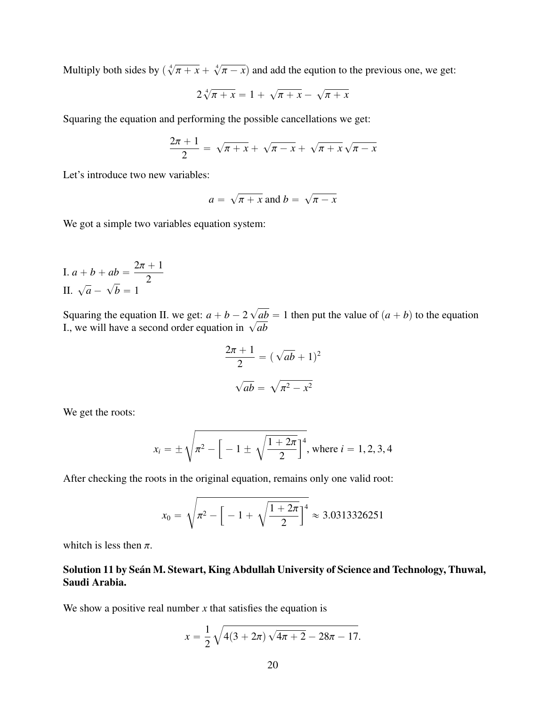Multiply both sides by  $\left(\sqrt[4]{\phantom{1}}\right)$  $\pi + x +$  $\frac{4}{ }$  $(\pi - x)$  and add the eqution to the previous one, we get:

$$
2\sqrt[4]{\pi + x} = 1 + \sqrt{\pi + x} - \sqrt{\pi + x}
$$

Squaring the equation and performing the possible cancellations we get:

$$
\frac{2\pi+1}{2} = \sqrt{\pi+x} + \sqrt{\pi-x} + \sqrt{\pi+x} \sqrt{\pi-x}
$$

Let's introduce two new variables:

$$
a = \sqrt{\pi + x} \text{ and } b = \sqrt{\pi - x}
$$

We got a simple two variables equation system:

I. 
$$
a + b + ab = \frac{2\pi + 1}{2}
$$
  
II.  $\sqrt{a} - \sqrt{b} = 1$ 

Squaring the equation II. we get:  $a + b - 2$ ?  $ab = 1$  then put the value of  $(a + b)$  to the equation Squaring the equation ii. we get:  $a + b - 2 \sqrt{a}b$ <br>I., we will have a second order equation in  $\sqrt{ab}$ 

$$
\frac{2\pi + 1}{2} = (\sqrt{ab} + 1)^2
$$

$$
\sqrt{ab} = \sqrt{\pi^2 - x^2}
$$

We get the roots:

$$
x_i = \pm \sqrt{\pi^2 - \left[ -1 \pm \sqrt{\frac{1+2\pi}{2}} \right]^4}
$$
, where  $i = 1, 2, 3, 4$ 

After checking the roots in the original equation, remains only one valid root:

$$
x_0 = \sqrt{\pi^2 - \left[ -1 + \sqrt{\frac{1+2\pi}{2}} \right]^4} \approx 3.0313326251
$$

whitch is less then  $\pi$ .

## Solution 11 by Seán M. Stewart, King Abdullah University of Science and Technology, Thuwal, Saudi Arabia.

We show a positive real number  $x$  that satisfies the equation is

$$
x = \frac{1}{2} \sqrt{4(3 + 2\pi) \sqrt{4\pi + 2} - 28\pi - 17}.
$$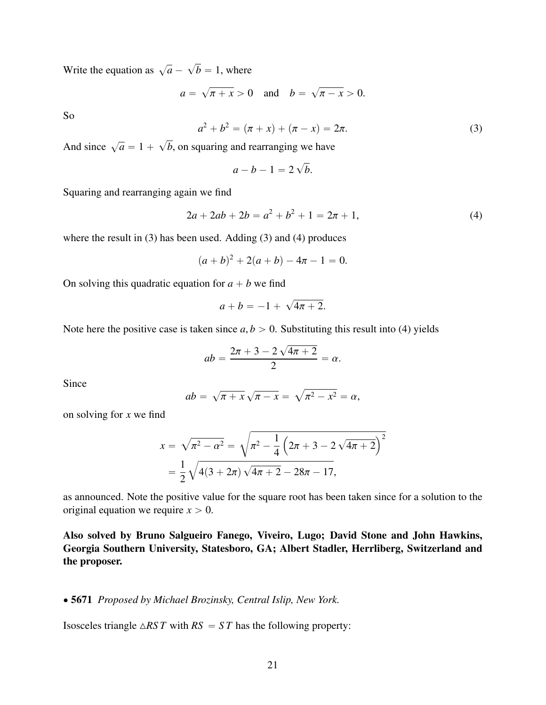Write the equation as  $\sqrt{a}$  – ?  $b = 1$ , where

> $a =$  $\overline{\phantom{a}}$  $\pi + x > 0$  and  $b =$  $\overline{\phantom{a}}$  $\pi - x > 0.$

So

$$
a^2 + b^2 = (\pi + x) + (\pi - x) = 2\pi.
$$
 (3)

And since  $\sqrt{a} = 1 +$  $\overline{\phantom{a}}$ *b*, on squaring and rearranging we have

$$
a-b-1=2\sqrt{b}.
$$

Squaring and rearranging again we find

$$
2a + 2ab + 2b = a^2 + b^2 + 1 = 2\pi + 1,
$$
\n(4)

where the result in (3) has been used. Adding (3) and (4) produces

$$
(a+b)^2 + 2(a+b) - 4a - 1 = 0.
$$

On solving this quadratic equation for  $a + b$  we find

$$
a+b=-1+\sqrt{4\pi+2}.
$$

Note here the positive case is taken since  $a, b > 0$ . Substituting this result into (4) yields

$$
ab = \frac{2\pi + 3 - 2\sqrt{4\pi + 2}}{2} = \alpha.
$$

Since

$$
ab = \sqrt{\pi + x} \sqrt{\pi - x} = \sqrt{\pi^2 - x^2} = \alpha,
$$

on solving for *x* we find

$$
x = \sqrt{\pi^2 - \alpha^2} = \sqrt{\pi^2 - \frac{1}{4} (2\pi + 3 - 2\sqrt{4\pi + 2})^2}
$$
  
=  $\frac{1}{2} \sqrt{4(3 + 2\pi) \sqrt{4\pi + 2} - 28\pi - 17},$ 

as announced. Note the positive value for the square root has been taken since for a solution to the original equation we require  $x > 0$ .

Also solved by Bruno Salgueiro Fanego, Viveiro, Lugo; David Stone and John Hawkins, Georgia Southern University, Statesboro, GA; Albert Stadler, Herrliberg, Switzerland and the proposer.

#### ' 5671 *Proposed by Michael Brozinsky, Central Islip, New York.*

Isosceles triangle  $\triangle RST$  with  $RS = ST$  has the following property: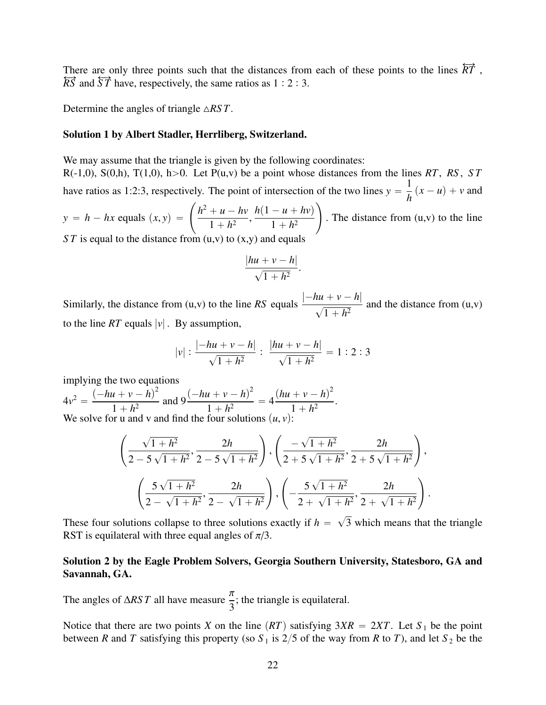There are only three points such that the distances from each of these points to the lines  $\overleftrightarrow{RT}$ ,  $\overleftrightarrow{RS}$  and  $\overleftrightarrow{ST}$  have, respectively, the same ratios as 1 : 2 : 3.

Determine the angles of triangle  $\triangle RST$ .

#### Solution 1 by Albert Stadler, Herrliberg, Switzerland.

We may assume that the triangle is given by the following coordinates:

 $R(-1,0)$ ,  $S(0,h)$ ,  $T(1,0)$ ,  $h>0$ . Let  $P(u,v)$  be a point whose distances from the lines *RT*, *RS*, *ST* have ratios as 1:2:3, respectively. The point of intersection of the two lines  $y = \frac{1}{b}(x - u) + v$  and *h*  $y = h - hx$  equals  $(x, y) =$  $\sum_{i=1}^{n}$  $h^2 + u - hv$  $1 + h^2$  $h(1 - u + hv)$  $1 + h^2$  $\sum_{i=1}^{n}$ . The distance from  $(u, v)$  to the line

*ST* is equal to the distance from (u,v) to (x,y) and equals

$$
\frac{|hu+v-h|}{\sqrt{1+h^2}}.
$$

Similarly, the distance from (u,v) to the line *RS* equals  $\frac{|-hu + v - h|}{\sqrt{u^2 + h^2}}$  $\frac{1}{\sqrt{2}}$  $\frac{1+h^2}{1+h^2}$  and the distance from (u,v) to the line *RT* equals  $|v|$ . By assumption,

$$
|v|:\frac{|-hu+v-h|}{\sqrt{1+h^2}}:\ \frac{|hu+v-h|}{\sqrt{1+h^2}}=1:2:3
$$

implying the two equations

 $4v^2 = \frac{(-hu + v - h)^2}{1 + h^2}$  $\frac{(u+v-h)^2}{1+h^2}$  and  $9\frac{(-hu+v-h)^2}{1+h^2}$  $\frac{n + h^2}{1 + h^2} = 4$  $(hu + v - h)^2$  $1 + h^2$  . We solve for u and v and find the four solutions  $(u, v)$ 

$$
\left(\frac{\sqrt{1+h^2}}{2-5\sqrt{1+h^2}}, \frac{2h}{2-5\sqrt{1+h^2}}\right), \left(\frac{-\sqrt{1+h^2}}{2+5\sqrt{1+h^2}}, \frac{2h}{2+5\sqrt{1+h^2}}\right),\newline
$$

$$
\left(\frac{5\sqrt{1+h^2}}{2-\sqrt{1+h^2}}, \frac{2h}{2-\sqrt{1+h^2}}\right), \left(-\frac{5\sqrt{1+h^2}}{2+\sqrt{1+h^2}}, \frac{2h}{2+\sqrt{1+h^2}}\right).
$$

These four solutions collapse to three solutions exactly if  $h =$ 3 which means that the triangle RST is equilateral with three equal angles of  $\pi/3$ .

#### Solution 2 by the Eagle Problem Solvers, Georgia Southern University, Statesboro, GA and Savannah, GA.

The angles of  $\triangle RST$  all have measure  $\frac{\triangle}{3}$ ; the triangle is equilateral.

Notice that there are two points *X* on the line  $(RT)$  satisfying  $3XR = 2XT$ . Let  $S_1$  be the point between *R* and *T* satisfying this property (so  $S_1$  is 2/5 of the way from *R* to *T*), and let  $S_2$  be the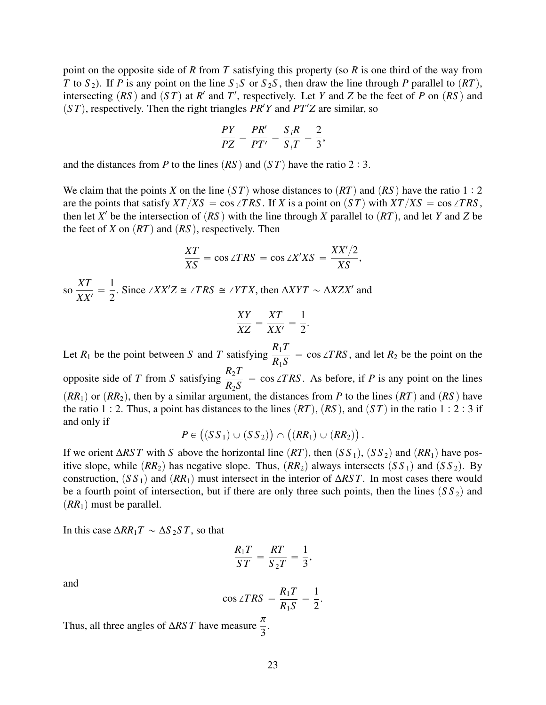point on the opposite side of *R* from *T* satisfying this property (so *R* is one third of the way from *T* to *S*<sub>2</sub>). If *P* is any point on the line *S*<sub>1</sub>*S* or *S*<sub>2</sub>*S*, then draw the line through *P* parallel to  $(RT)$ , intersecting  $(RS)$  and  $(ST)$  at  $R'$  and  $T'$ , respectively. Let *Y* and *Z* be the feet of *P* on  $(RS)$  and  $(ST)$ , respectively. Then the right triangles *PR<sup>'</sup>Y* and *PT'Z* are similar, so

$$
\frac{PY}{PZ}=\frac{PR'}{PT'}=\frac{S_iR}{S_iT}=\frac{2}{3},
$$

and the distances from *P* to the lines  $(RS)$  and  $(ST)$  have the ratio 2 : 3.

We claim that the points *X* on the line  $(ST)$  whose distances to  $(RT)$  and  $(RS)$  have the ratio 1 : 2 are the points that satisfy  $XT/XS = \cos \angle TRS$ . If *X* is a point on  $(ST)$  with  $XT/XS = \cos \angle TRS$ , then let  $X'$  be the intersection of  $(RS)$  with the line through  $X$  parallel to  $(RT)$ , and let  $Y$  and  $Z$  be the feet of *X* on  $(RT)$  and  $(RS)$ , respectively. Then

$$
\frac{XT}{XS} = \cos \angle TRS = \cos \angle X'XS = \frac{XX'/2}{XS},
$$
  
so  $\frac{XT}{XX'} = \frac{1}{2}$ . Since  $\angle XX'Z \cong \angle TRS \cong \angle YTX$ , then  $\Delta XYT \sim \Delta XZX'$  and  
 $XY = XT - 1$ 

$$
\frac{XY}{XZ} = \frac{XT}{XX'} = \frac{1}{2}
$$

Let  $R_1$  be the point between *S* and *T* satisfying  $\frac{R_1 T}{R_1 S}$ *R*1*S*  $=$  cos ∠*TRS*, and let  $R_2$  be the point on the opposite side of *T* from *S* satisfying  $\frac{R_2 T}{R_1 R_2}$ *R*2*S*  $=$  cos ∠*TRS*. As before, if *P* is any point on the lines  $(RR_1)$  or  $(RR_2)$ , then by a similar argument, the distances from *P* to the lines  $(RT)$  and  $(RS)$  have the ratio 1 : 2. Thus, a point has distances to the lines  $(RT)$ ,  $(RS)$ , and  $(ST)$  in the ratio 1 : 2 : 3 if and only if

$$
P\in \big((SS_{\,1})\cup (SS_{\,2})\big)\cap \big((RR_{1})\cup (RR_{2})\big)\,.
$$

If we orient  $\Delta RST$  with *S* above the horizontal line  $(RT)$ , then  $(SS_1)$ ,  $(SS_2)$  and  $(RR_1)$  have positive slope, while  $(RR_2)$  has negative slope. Thus,  $(RR_2)$  always intersects  $(SS_1)$  and  $(SS_2)$ . By construction,  $(S S_1)$  and  $(RR_1)$  must intersect in the interior of  $\Delta RST$ . In most cases there would be a fourth point of intersection, but if there are only three such points, then the lines  $(S S_2)$  and  $(RR_1)$  must be parallel.

In this case  $\Delta RR_1T \sim \Delta S_2ST$ , so that

$$
\frac{R_1T}{ST}=\frac{RT}{S_2T}=\frac{1}{3},
$$

and

$$
\cos \angle TRS = \frac{R_1T}{R_1S} = \frac{1}{2}.
$$

Thus, all three angles of  $\triangle RST$  have measure  $\frac{\triangle}{3}$ .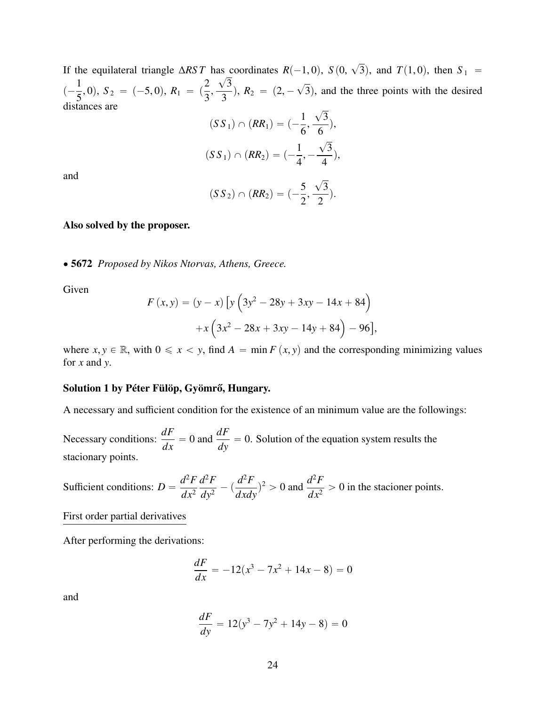If the equilateral triangle  $\triangle RST$  has coordinates  $R(-1, 0)$ ,  $S(0, 1)$  $\overline{\phantom{a}}$ as coordinates  $R(-1, 0)$ ,  $S(0, \sqrt{3})$ , and  $T(1, 0)$ , then  $S_1 = \sqrt{3}$  $\left(-\frac{1}{5}, 0\right), S_2 = (-5, 0), R_1 = \left(\frac{2}{3},\right)$ 3  $\frac{\sqrt{6}}{3}$ ,  $R_2 = (2, \overline{\phantom{a}}$ 3), and the three points with the desired distances are  $\overline{\phantom{a}}$ 

$$
(SS_1) \cap (RR_1) = \left(-\frac{1}{6}, \frac{\sqrt{3}}{6}\right),
$$
  

$$
(SS_1) \cap (RR_2) = \left(-\frac{1}{4}, -\frac{\sqrt{3}}{4}\right),
$$

and

$$
(SS_2) \cap (RR_2) = (-\frac{5}{2}, \frac{\sqrt{3}}{2}).
$$

#### Also solved by the proposer.

' 5672 *Proposed by Nikos Ntorvas, Athens, Greece.*

Given

$$
F(x, y) = (y - x) [y (3y2 - 28y + 3xy - 14x + 84)+x (3x2 - 28x + 3xy - 14y + 84) - 96],
$$

where  $x, y \in \mathbb{R}$ , with  $0 \le x < y$ , find  $A = \min F(x, y)$  and the corresponding minimizing values for *x* and *y*.

#### Solution 1 by Péter Fülöp, Gyömrő, Hungary.

A necessary and sufficient condition for the existence of an minimum value are the followings:

Necessary conditions: *dF*  $\frac{dF}{dx} = 0$  and  $\frac{dF}{dy} = 0$ . Solution of the equation system results the stacionary points.

Sufficient conditions:  $D =$  $d^2F$  $dx^2$  $d^2F$  $rac{d^2F}{dy^2} - (\frac{d^2F}{dx dy})$  $\frac{d^2F}{dx dy}$ <sup>2</sup> > 0 and  $\frac{d^2F}{dx^2}$  $\frac{d^{2}y}{dx^{2}} > 0$  in the stacioner points.

First order partial derivatives

After performing the derivations:

$$
\frac{dF}{dx} = -12(x^3 - 7x^2 + 14x - 8) = 0
$$

and

$$
\frac{dF}{dy} = 12(y^3 - 7y^2 + 14y - 8) = 0
$$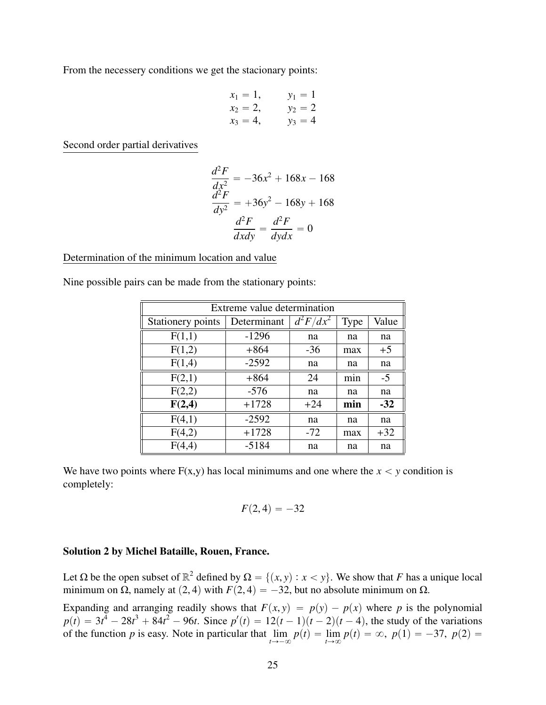From the necessery conditions we get the stacionary points:

$$
x_1 = 1,
$$
  $y_1 = 1$   
\n $x_2 = 2,$   $y_2 = 2$   
\n $x_3 = 4,$   $y_3 = 4$ 

Second order partial derivatives

$$
\frac{d^2F}{dx^2} = -36x^2 + 168x - 168
$$

$$
\frac{d^2F}{dy^2} = +36y^2 - 168y + 168
$$

$$
\frac{d^2F}{dx dy} = \frac{d^2F}{dy dx} = 0
$$

#### Determination of the minimum location and value

Nine possible pairs can be made from the stationary points:

| Extreme value determination |             |             |      |       |
|-----------------------------|-------------|-------------|------|-------|
| Stationery points           | Determinant | $d^2F/dx^2$ | Type | Value |
| F(1,1)                      | $-1296$     | na          | na   | na    |
| F(1,2)                      | $+864$      | $-36$       | max  | $+5$  |
| F(1,4)                      | $-2592$     | na          | na   | na    |
| F(2,1)                      | $+864$      | 24          | min  | $-5$  |
| F(2,2)                      | $-576$      | na          | na   | na    |
| F(2,4)                      | $+1728$     | $+24$       | min  | $-32$ |
| F(4,1)                      | $-2592$     | na          | na   | na    |
| F(4,2)                      | $+1728$     | $-72$       | max  | $+32$ |
| F(4,4)                      | $-5184$     | na          | na   | na    |

We have two points where  $F(x,y)$  has local minimums and one where the  $x < y$  condition is completely:

$$
F(2,4)=-32
$$

#### Solution 2 by Michel Bataille, Rouen, France.

Let  $\Omega$  be the open subset of  $\mathbb{R}^2$  defined by  $\Omega = \{(x, y) : x < y\}$ . We show that *F* has a unique local minimum on  $\Omega$  angular  $(2, 4)$  with  $F(2, 4) = -32$  but no absolute minimum on  $\Omega$ minimum on  $\Omega$ , namely at (2, 4) with *F*(2, 4) =  $-32$ , but no absolute minimum on  $\Omega$ .

Expanding and arranging readily shows that  $F(x, y) = p(y) - p(x)$  where *p* is the polynomial  $p(t) = 3t^4 - 28t^3 + 84t^2 - 96t$ . Since  $p'(t) = 12(t-1)(t-2)(t-4)$ , the study of the variations of the function *p* is easy. Note in particular that  $\lim_{t \to -\infty} p(t) = \lim_{t \to \infty} p(t) = \infty$ ,  $p(1) = -37$ ,  $p(2) =$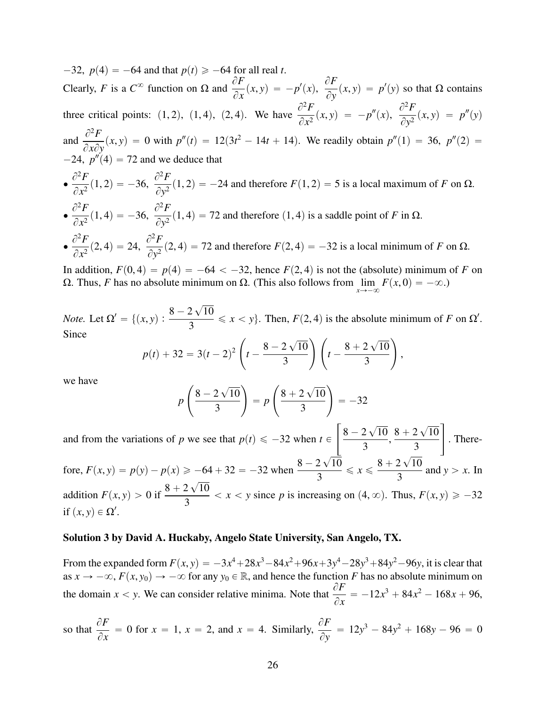$-32$ ,  $p(4) = -64$  and that  $p(t) \ge -64$  for all real *t*. Clearly, *F* is a  $C^{\infty}$  function on  $\Omega$  and  $\frac{\partial F}{\partial T}$  $\frac{\partial P}{\partial x}(x, y) = -p'(x),$  $\partial F$  $\frac{\partial P}{\partial y}(x, y) = p'(y)$  so that  $\Omega$  contains three critical points: (1, 2), (1, 4), (2, 4). We have  $\frac{\partial^2 F}{\partial x^2}$  $\frac{\partial^2 F}{\partial x^2}(x, y) = -p''(x), \frac{\partial^2 F}{\partial y^2}$  $\frac{\partial^2 P}{\partial y^2}(x, y) = p''(y)$ and  $\frac{\partial^2 F}{\partial x^2}$  $\frac{\partial^2 P}{\partial x \partial y}(x, y) = 0$  with  $p''(t) = 12(3t^2 - 14t + 14)$ . We readily obtain  $p''(1) = 36$ ,  $p''(2) = 12(3t^2 - 14t + 14)$ .  $-24$ ,  $p''(4) = 72$  and we deduce that  $\bullet$  $\partial^2 F$  $\frac{\partial^2 F}{\partial x^2}(1,2) = -36, \frac{\partial^2 F}{\partial y^2}$  $\frac{\partial^2 P}{\partial y^2}$ (1, 2) = -24 and therefore *F*(1, 2) = 5 is a local maximum of *F* on  $\Omega$ .  $\bullet$  $\partial^2 F$  $\frac{\partial^2 F}{\partial x^2}(1,4) = -36, \frac{\partial^2 F}{\partial y^2}$  $\frac{\partial^2 I}{\partial y^2}$  (1, 4) = 72 and therefore (1, 4) is a saddle point of *F* in  $\Omega$ .  $\bullet$  $\partial^2 F$  $\frac{\partial^2 F}{\partial x^2}(2,4) = 24, \frac{\partial^2 F}{\partial y^2}$  $\frac{\partial^2 f}{\partial y^2}$  (2, 4) = 72 and therefore  $F(2, 4) = -32$  is a local minimum of *F* on  $\Omega$ .

In addition,  $F(0, 4) = p(4) = -64 < -32$ , hence  $F(2, 4)$  is not the (absolute) minimum of *F* on Ω. Thus, *F* has no absolute minimum on Ω. (This also follows from  $\lim_{x \to -\infty} F(x, 0) = -\infty$ .)

*Note.* Let  $\Omega' = \{(x, y) : \frac{8-2}{3}$  $\overline{\phantom{a}}$ 10  $\frac{2 \sqrt{10}}{3} \le x < y$ . Then,  $F(2, 4)$  is the absolute minimum of *F* on  $\Omega'$ . Since  $\mathcal{L}_{\mathcal{A}}$  is a subset of  $\mathcal{L}_{\mathcal{A}}$  in the set of  $\mathcal{L}_{\mathcal{A}}$  $\overline{\phantom{a}}$  $\overline{\phantom{a}}$ 

$$
p(t) + 32 = 3(t-2)^2 \left( t - \frac{8-2\sqrt{10}}{3} \right) \left( t - \frac{8+2\sqrt{10}}{3} \right),
$$

we have

$$
p\left(\frac{8-2\sqrt{10}}{3}\right) = p\left(\frac{8+2\sqrt{10}}{3}\right) = -32
$$

for the control of the control of the control of the control of the control of the control of the control of the control of the control of the control of the control of the control of the control of the control of the cont

and from the variations of *p* we see that  $p(t) \le -32$  when  $t \in$  $8 - 2$ ? 10 3 ,  $8 + 2$  $\overline{\phantom{a}}$ 10 3 . Therefore,  $F(x, y) = p(y) - p(x) \ge -64 + 32 = -32$  when  $\frac{8 - 2\sqrt{10}}{3}$  $\frac{1}{48}$   $\frac{1}{2}$   $\frac{1}{2}$  $\frac{2\sqrt{10}}{3} \leqslant x \leqslant \frac{8+2\sqrt{10}}{3}$  $\frac{2 \sqrt{16}}{3}$  and  $y > x$ . In addition  $F(x, y) > 0$  if  $\frac{8 + 2}{3}$ ? 10  $\frac{2 \sqrt{10}}{3}$  < *x* < *y* since *p* is increasing on (4,  $\infty$ ). Thus,  $F(x, y) \ge -32$ if  $(x, y) \in \Omega'.$ 

#### Solution 3 by David A. Huckaby, Angelo State University, San Angelo, TX.

From the expanded form  $F(x, y) = -3x^4 + 28x^3 - 84x^2 + 96x + 3y^4 - 28y^3 + 84y^2 - 96y$ , it is clear that  $28x \to -\infty$ ,  $F(x, y_0) \to -\infty$  for any  $y_0 \in \mathbb{R}$ , and hence the function *F* has no absolute minimum on as  $x \to -\infty$ ,  $F(x, y_0) \to -\infty$  for any  $y_0 \in \mathbb{R}$ , and hence the function *F* has no absolute minimum on the domain *x* < *y*. We can consider relative minima. Note that  $\frac{\partial F}{\partial x}$  $\partial x$  $= -12x^3 + 84x^2 - 168x + 96,$ 

so that 
$$
\frac{\partial F}{\partial x} = 0
$$
 for  $x = 1$ ,  $x = 2$ , and  $x = 4$ . Similarly,  $\frac{\partial F}{\partial y} = 12y^3 - 84y^2 + 168y - 96 = 0$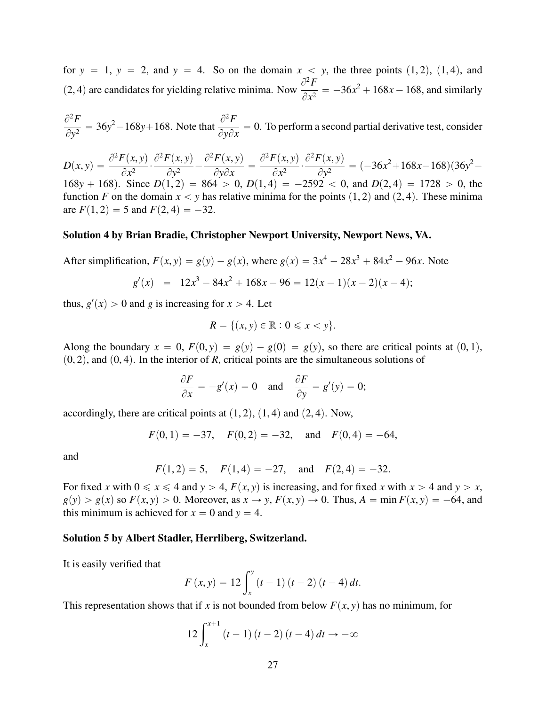for  $y = 1$ ,  $y = 2$ , and  $y = 4$ . So on the domain  $x < y$ , the three points  $(1, 2)$ ,  $(1, 4)$ , and (2, 4) are candidates for yielding relative minima. Now  $\frac{\partial^2 F}{\partial x^2}$  $\frac{\partial^2 F}{\partial x^2} = -36x^2 + 168x - 168$ , and similarly

$$
\frac{\partial^2 F}{\partial y^2} = 36y^2 - 168y + 168.
$$
 Note that  $\frac{\partial^2 F}{\partial y \partial x} = 0$ . To perform a second partial derivative test, consider

 $D(x, y) = \frac{\partial^2 F(x, y)}{\partial x^2}$  $\frac{\partial}{\partial x^2}$ .  $\frac{\partial^2 F(x, y)}{\partial x^2}$  $\frac{\overline{(x,y)}}{\partial y^2}$  - $\frac{\partial^2 F(x, y)}{\partial y^2}$  $\frac{\partial}{\partial y \partial x} =$  $\frac{\partial^2 F(x, y)}{\partial x^2}$  $\frac{\partial}{\partial x^2}$ .  $\frac{\partial^2 F(x, y)}{\partial x^2}$  $\frac{(x,y)}{\partial y^2}$  =  $(-36x^2+168x-168)(36y^2-$ 168y + 168). Since  $D(1, 2) = 864 > 0$ ,  $D(1, 4) = -2592 < 0$ , and  $D(2, 4) = 1728 > 0$ , the function *F* on the domain  $x < y$  has relative minima for the points  $(1, 2)$  and  $(2, 4)$ . These minima are  $F(1, 2) = 5$  and  $F(2, 4) = -32$ .

#### Solution 4 by Brian Bradie, Christopher Newport University, Newport News, VA.

After simplification,  $F(x, y) = g(y) - g(x)$ , where  $g(x) = 3x^4 - 28x^3 + 84x^2 - 96x$ . Note

$$
g'(x) = 12x^3 - 84x^2 + 168x - 96 = 12(x - 1)(x - 2)(x - 4);
$$

thus,  $g'(x) > 0$  and *g* is increasing for  $x > 4$ . Let

$$
R = \{(x, y) \in \mathbb{R} : 0 \leqslant x < y\}.
$$

Along the boundary  $x = 0$ ,  $F(0, y) = g(y) - g(0) = g(y)$ , so there are critical points at  $(0, 1)$ ,  $(0, 2)$ , and  $(0, 4)$ . In the interior of *R*, critical points are the simultaneous solutions of

$$
\frac{\partial F}{\partial x} = -g'(x) = 0 \text{ and } \frac{\partial F}{\partial y} = g'(y) = 0;
$$

accordingly, there are critical points at  $(1, 2)$ ,  $(1, 4)$  and  $(2, 4)$ . Now,

$$
F(0, 1) = -37
$$
,  $F(0, 2) = -32$ , and  $F(0, 4) = -64$ ,

and

$$
F(1,2) = 5
$$
,  $F(1,4) = -27$ , and  $F(2,4) = -32$ .

For fixed *x* with  $0 \le x \le 4$  and  $y > 4$ ,  $F(x, y)$  is increasing, and for fixed *x* with  $x > 4$  and  $y > x$ ,  $g(y) > g(x)$  so  $F(x, y) > 0$ . Moreover, as  $x \to y$ ,  $F(x, y) \to 0$ . Thus,  $A = \min F(x, y) = -64$ , and this minimum is achieved for  $x = 0$  and  $y = 4$ .

#### Solution 5 by Albert Stadler, Herrliberg, Switzerland.

It is easily verified that

$$
F(x, y) = 12 \int_{x}^{y} (t - 1) (t - 2) (t - 4) dt.
$$

This representation shows that if *x* is not bounded from below  $F(x, y)$  has no minimum, for

$$
12\int_{x}^{x+1} (t-1)(t-2)(t-4) dt \to -\infty
$$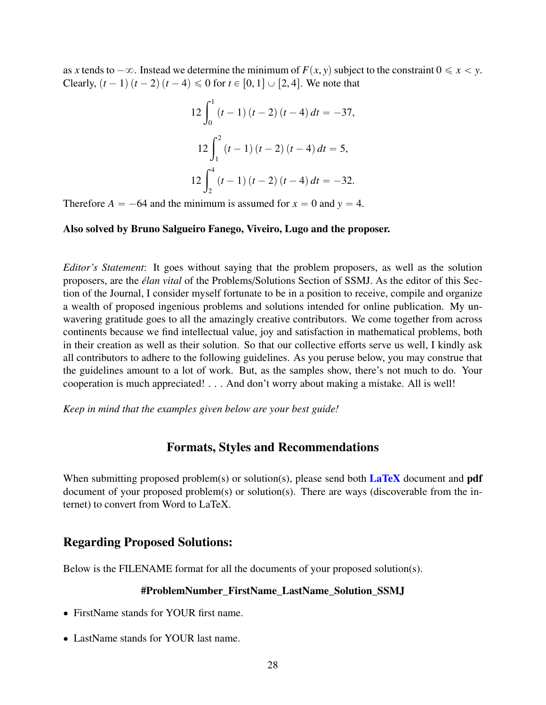as *x* tends to  $-\infty$ . Instead we determine the minimum of  $F(x, y)$  subject to the constraint  $0 \le x \le y$ . Clearly,  $(t - 1)(t - 2)(t - 4) \le 0$  for  $t \in [0, 1] \cup [2, 4]$ . We note that

$$
12\int_0^1 (t-1)(t-2)(t-4) dt = -37,
$$
  

$$
12\int_1^2 (t-1)(t-2)(t-4) dt = 5,
$$
  

$$
12\int_2^4 (t-1)(t-2)(t-4) dt = -32.
$$

Therefore  $A = -64$  and the minimum is assumed for  $x = 0$  and  $y = 4$ .

#### Also solved by Bruno Salgueiro Fanego, Viveiro, Lugo and the proposer.

*Editor's Statement*: It goes without saying that the problem proposers, as well as the solution proposers, are the *élan vital* of the Problems/Solutions Section of SSMJ. As the editor of this Section of the Journal, I consider myself fortunate to be in a position to receive, compile and organize a wealth of proposed ingenious problems and solutions intended for online publication. My unwavering gratitude goes to all the amazingly creative contributors. We come together from across continents because we find intellectual value, joy and satisfaction in mathematical problems, both in their creation as well as their solution. So that our collective efforts serve us well, I kindly ask all contributors to adhere to the following guidelines. As you peruse below, you may construe that the guidelines amount to a lot of work. But, as the samples show, there's not much to do. Your cooperation is much appreciated! . . . And don't worry about making a mistake. All is well!

*Keep in mind that the examples given below are your best guide!*

### Formats, Styles and Recommendations

When submitting proposed problem(s) or solution(s), please send both  $\text{LaTeX}$  document and pdf document of your proposed problem(s) or solution(s). There are ways (discoverable from the internet) to convert from Word to LaTeX.

### Regarding Proposed Solutions:

Below is the FILENAME format for all the documents of your proposed solution(s).

#### #ProblemNumber\_FirstName\_LastName\_Solution\_SSMJ

- ' FirstName stands for YOUR first name.
- ' LastName stands for YOUR last name.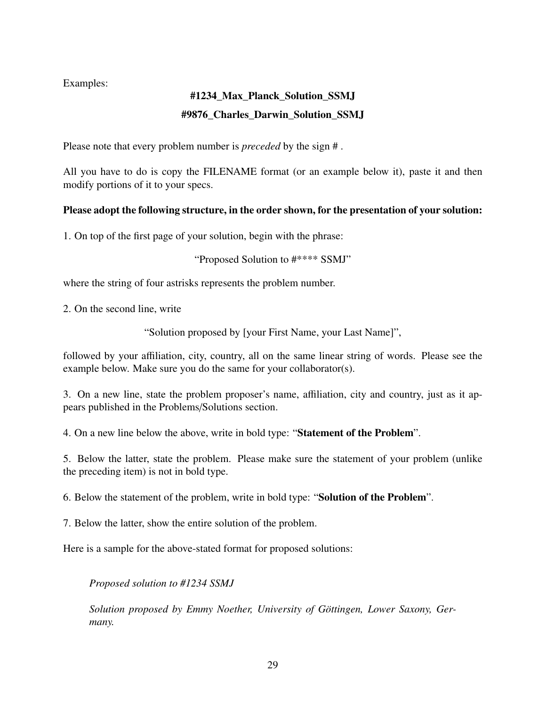Examples:

# #1234\_Max\_Planck\_Solution\_SSMJ #9876 Charles Darwin Solution SSMJ

Please note that every problem number is *preceded* by the sign # .

All you have to do is copy the FILENAME format (or an example below it), paste it and then modify portions of it to your specs.

# Please adopt the following structure, in the order shown, for the presentation of your solution:

1. On top of the first page of your solution, begin with the phrase:

"Proposed Solution to #\*\*\*\* SSMJ"

where the string of four astrisks represents the problem number.

2. On the second line, write

"Solution proposed by [your First Name, your Last Name]",

followed by your affiliation, city, country, all on the same linear string of words. Please see the example below. Make sure you do the same for your collaborator(s).

3. On a new line, state the problem proposer's name, affiliation, city and country, just as it appears published in the Problems/Solutions section.

4. On a new line below the above, write in bold type: "Statement of the Problem".

5. Below the latter, state the problem. Please make sure the statement of your problem (unlike the preceding item) is not in bold type.

6. Below the statement of the problem, write in bold type: "Solution of the Problem".

7. Below the latter, show the entire solution of the problem.

Here is a sample for the above-stated format for proposed solutions:

*Proposed solution to #1234 SSMJ*

*Solution proposed by Emmy Noether, University of Göttingen, Lower Saxony, Germany.*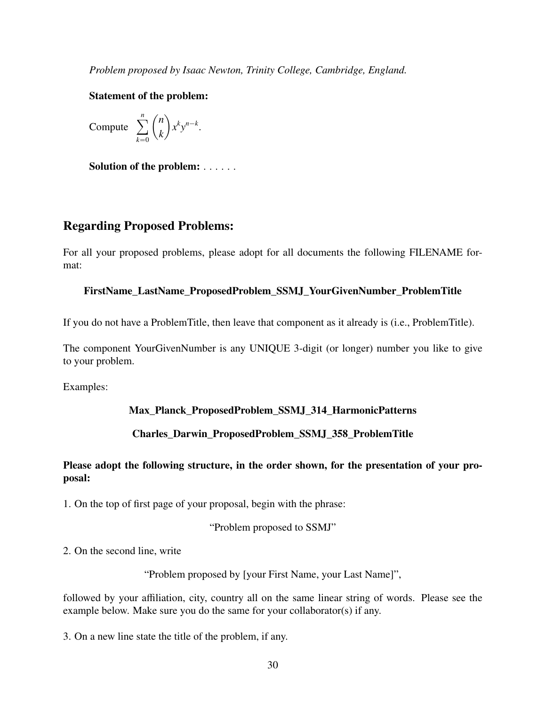*Problem proposed by Isaac Newton, Trinity College, Cambridge, England.*

### Statement of the problem:

Compute 
$$
\sum_{k=0}^{n} {n \choose k} x^{k} y^{n-k}.
$$

Solution of the problem: . . . . . .

# Regarding Proposed Problems:

For all your proposed problems, please adopt for all documents the following FILENAME format:

### FirstName\_LastName\_ProposedProblem\_SSMJ\_YourGivenNumber\_ProblemTitle

If you do not have a ProblemTitle, then leave that component as it already is (i.e., ProblemTitle).

The component YourGivenNumber is any UNIQUE 3-digit (or longer) number you like to give to your problem.

Examples:

## Max\_Planck\_ProposedProblem\_SSMJ\_314\_HarmonicPatterns

## Charles\_Darwin\_ProposedProblem\_SSMJ\_358\_ProblemTitle

## Please adopt the following structure, in the order shown, for the presentation of your proposal:

1. On the top of first page of your proposal, begin with the phrase:

"Problem proposed to SSMJ"

2. On the second line, write

"Problem proposed by [your First Name, your Last Name]",

followed by your affiliation, city, country all on the same linear string of words. Please see the example below. Make sure you do the same for your collaborator(s) if any.

3. On a new line state the title of the problem, if any.